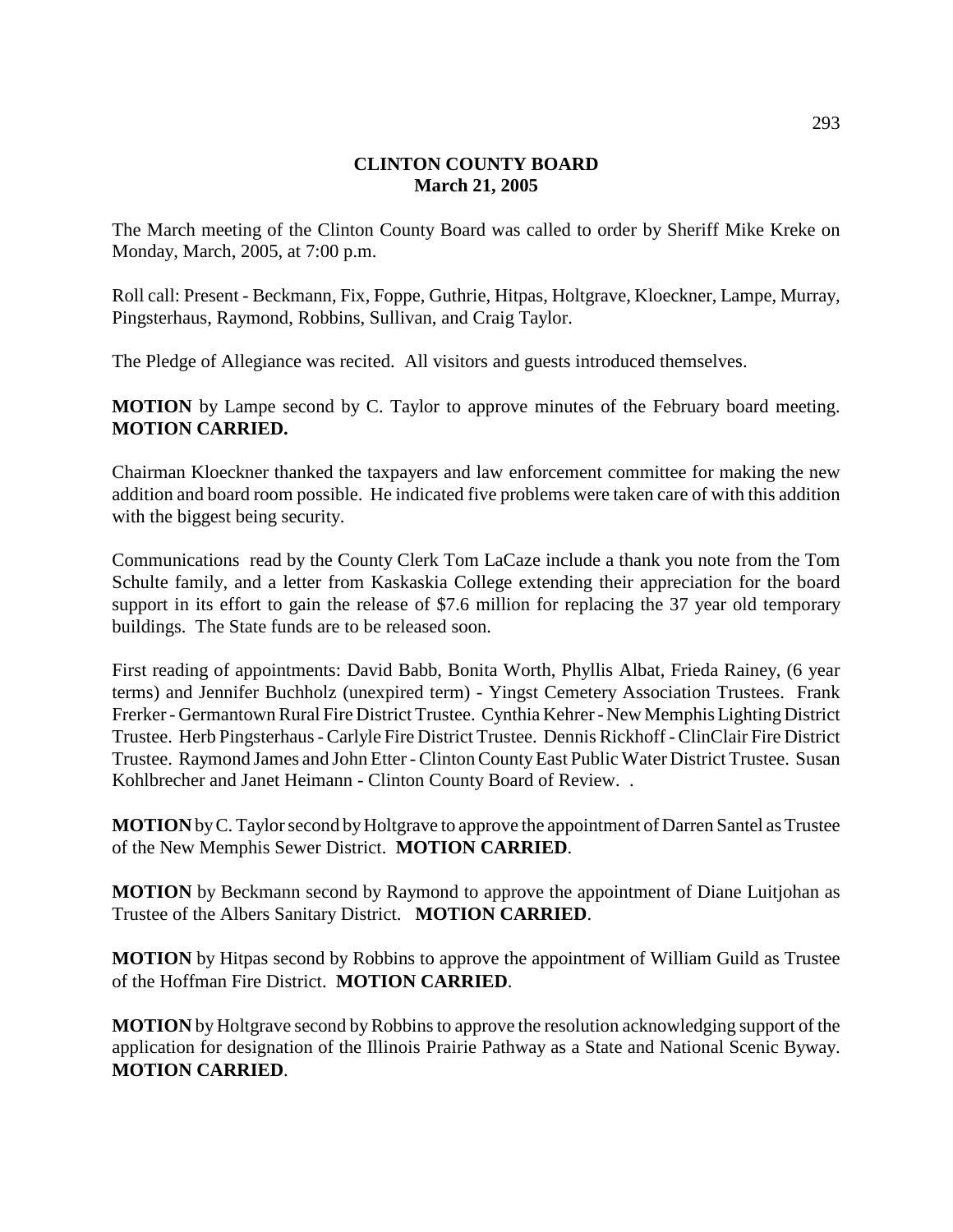## **CLINTON COUNTY BOARD March 21, 2005**

The March meeting of the Clinton County Board was called to order by Sheriff Mike Kreke on Monday, March, 2005, at 7:00 p.m.

Roll call: Present - Beckmann, Fix, Foppe, Guthrie, Hitpas, Holtgrave, Kloeckner, Lampe, Murray, Pingsterhaus, Raymond, Robbins, Sullivan, and Craig Taylor.

The Pledge of Allegiance was recited. All visitors and guests introduced themselves.

**MOTION** by Lampe second by C. Taylor to approve minutes of the February board meeting. **MOTION CARRIED.**

Chairman Kloeckner thanked the taxpayers and law enforcement committee for making the new addition and board room possible. He indicated five problems were taken care of with this addition with the biggest being security.

Communications read by the County Clerk Tom LaCaze include a thank you note from the Tom Schulte family, and a letter from Kaskaskia College extending their appreciation for the board support in its effort to gain the release of \$7.6 million for replacing the 37 year old temporary buildings. The State funds are to be released soon.

First reading of appointments: David Babb, Bonita Worth, Phyllis Albat, Frieda Rainey, (6 year terms) and Jennifer Buchholz (unexpired term) - Yingst Cemetery Association Trustees. Frank Frerker - Germantown Rural Fire District Trustee. Cynthia Kehrer - New Memphis Lighting District Trustee. Herb Pingsterhaus - Carlyle Fire District Trustee. Dennis Rickhoff - ClinClair Fire District Trustee. Raymond James and John Etter - Clinton County East Public Water District Trustee. Susan Kohlbrecher and Janet Heimann - Clinton County Board of Review. .

**MOTION** by C. Taylor second by Holtgrave to approve the appointment of Darren Santel as Trustee of the New Memphis Sewer District. **MOTION CARRIED**.

**MOTION** by Beckmann second by Raymond to approve the appointment of Diane Luitjohan as Trustee of the Albers Sanitary District. **MOTION CARRIED**.

**MOTION** by Hitpas second by Robbins to approve the appointment of William Guild as Trustee of the Hoffman Fire District. **MOTION CARRIED**.

**MOTION** by Holtgrave second by Robbins to approve the resolution acknowledging support of the application for designation of the Illinois Prairie Pathway as a State and National Scenic Byway. **MOTION CARRIED**.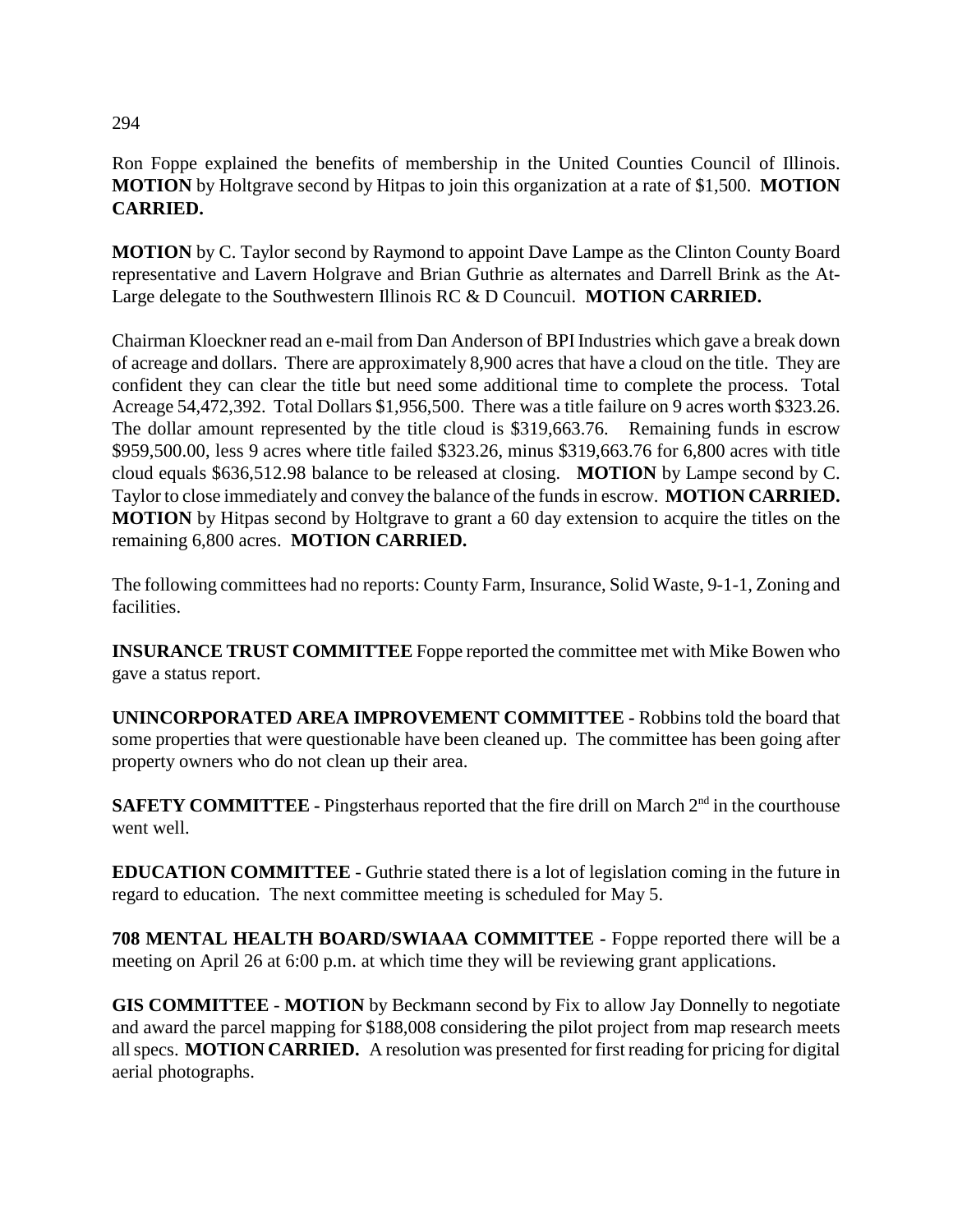# Ron Foppe explained the benefits of membership in the United Counties Council of Illinois. **MOTION** by Holtgrave second by Hitpas to join this organization at a rate of \$1,500. **MOTION CARRIED.**

**MOTION** by C. Taylor second by Raymond to appoint Dave Lampe as the Clinton County Board representative and Lavern Holgrave and Brian Guthrie as alternates and Darrell Brink as the At-Large delegate to the Southwestern Illinois RC & D Councuil. **MOTION CARRIED.**

Chairman Kloeckner read an e-mail from Dan Anderson of BPI Industries which gave a break down of acreage and dollars. There are approximately 8,900 acres that have a cloud on the title. They are confident they can clear the title but need some additional time to complete the process. Total Acreage 54,472,392. Total Dollars \$1,956,500. There was a title failure on 9 acres worth \$323.26. The dollar amount represented by the title cloud is \$319,663.76. Remaining funds in escrow \$959,500.00, less 9 acres where title failed \$323.26, minus \$319,663.76 for 6,800 acres with title cloud equals \$636,512.98 balance to be released at closing. **MOTION** by Lampe second by C. Taylor to close immediately and convey the balance of the funds in escrow. **MOTION CARRIED. MOTION** by Hitpas second by Holtgrave to grant a 60 day extension to acquire the titles on the remaining 6,800 acres. **MOTION CARRIED.**

The following committees had no reports: County Farm, Insurance, Solid Waste, 9-1-1, Zoning and facilities.

**INSURANCE TRUST COMMITTEE** Foppe reported the committee met with Mike Bowen who gave a status report.

**UNINCORPORATED AREA IMPROVEMENT COMMITTEE -** Robbins told the board that some properties that were questionable have been cleaned up. The committee has been going after property owners who do not clean up their area.

**SAFETY COMMITTEE - Pingsterhaus reported that the fire drill on March 2<sup>nd</sup> in the courthouse** went well.

**EDUCATION COMMITTEE** - Guthrie stated there is a lot of legislation coming in the future in regard to education. The next committee meeting is scheduled for May 5.

**708 MENTAL HEALTH BOARD/SWIAAA COMMITTEE -** Foppe reported there will be a meeting on April 26 at 6:00 p.m. at which time they will be reviewing grant applications.

**GIS COMMITTEE** - **MOTION** by Beckmann second by Fix to allow Jay Donnelly to negotiate and award the parcel mapping for \$188,008 considering the pilot project from map research meets all specs. **MOTION CARRIED.** A resolution was presented for first reading for pricing for digital aerial photographs.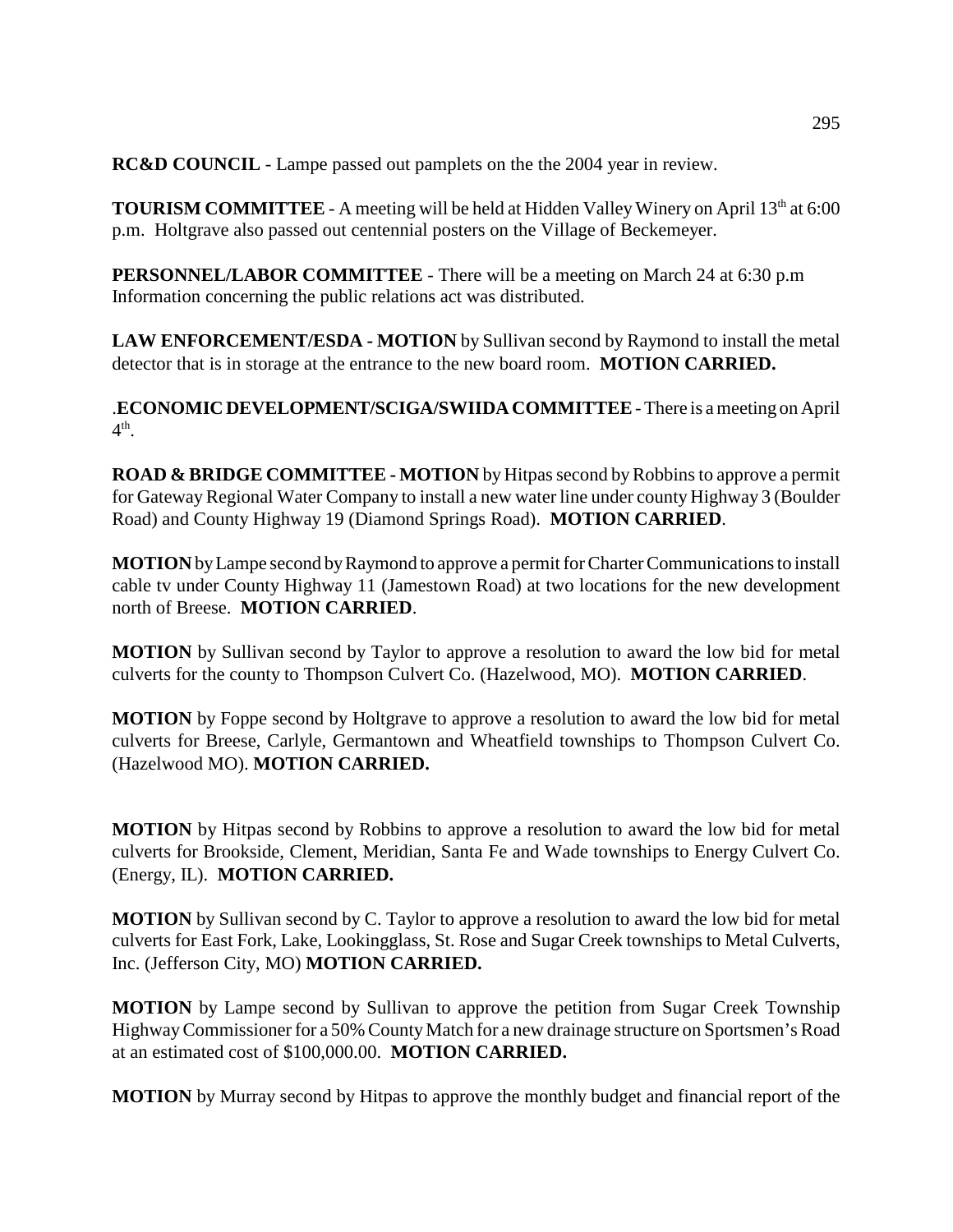**RC&D COUNCIL** - Lampe passed out pamplets on the the 2004 year in review.

**TOURISM COMMITTEE** - A meeting will be held at Hidden Valley Winery on April 13<sup>th</sup> at 6:00 p.m. Holtgrave also passed out centennial posters on the Village of Beckemeyer.

**PERSONNEL/LABOR COMMITTEE** - There will be a meeting on March 24 at 6:30 p.m Information concerning the public relations act was distributed.

**LAW ENFORCEMENT/ESDA - MOTION** by Sullivan second by Raymond to install the metal detector that is in storage at the entrance to the new board room. **MOTION CARRIED.** 

.**ECONOMIC DEVELOPMENT/SCIGA/SWIIDA COMMITTEE** - There is a meeting on April  $4^{\text{th}}$ .

**ROAD & BRIDGE COMMITTEE - MOTION** by Hitpas second by Robbins to approve a permit for Gateway Regional Water Company to install a new water line under county Highway 3 (Boulder Road) and County Highway 19 (Diamond Springs Road). **MOTION CARRIED**.

**MOTION** by Lampe second by Raymond to approve a permit for Charter Communications to install cable tv under County Highway 11 (Jamestown Road) at two locations for the new development north of Breese. **MOTION CARRIED**.

**MOTION** by Sullivan second by Taylor to approve a resolution to award the low bid for metal culverts for the county to Thompson Culvert Co. (Hazelwood, MO). **MOTION CARRIED**.

**MOTION** by Foppe second by Holtgrave to approve a resolution to award the low bid for metal culverts for Breese, Carlyle, Germantown and Wheatfield townships to Thompson Culvert Co. (Hazelwood MO). **MOTION CARRIED.**

**MOTION** by Hitpas second by Robbins to approve a resolution to award the low bid for metal culverts for Brookside, Clement, Meridian, Santa Fe and Wade townships to Energy Culvert Co. (Energy, IL). **MOTION CARRIED.**

**MOTION** by Sullivan second by C. Taylor to approve a resolution to award the low bid for metal culverts for East Fork, Lake, Lookingglass, St. Rose and Sugar Creek townships to Metal Culverts, Inc. (Jefferson City, MO) **MOTION CARRIED.**

**MOTION** by Lampe second by Sullivan to approve the petition from Sugar Creek Township Highway Commissioner for a 50% County Match for a new drainage structure on Sportsmen's Road at an estimated cost of \$100,000.00. **MOTION CARRIED.**

**MOTION** by Murray second by Hitpas to approve the monthly budget and financial report of the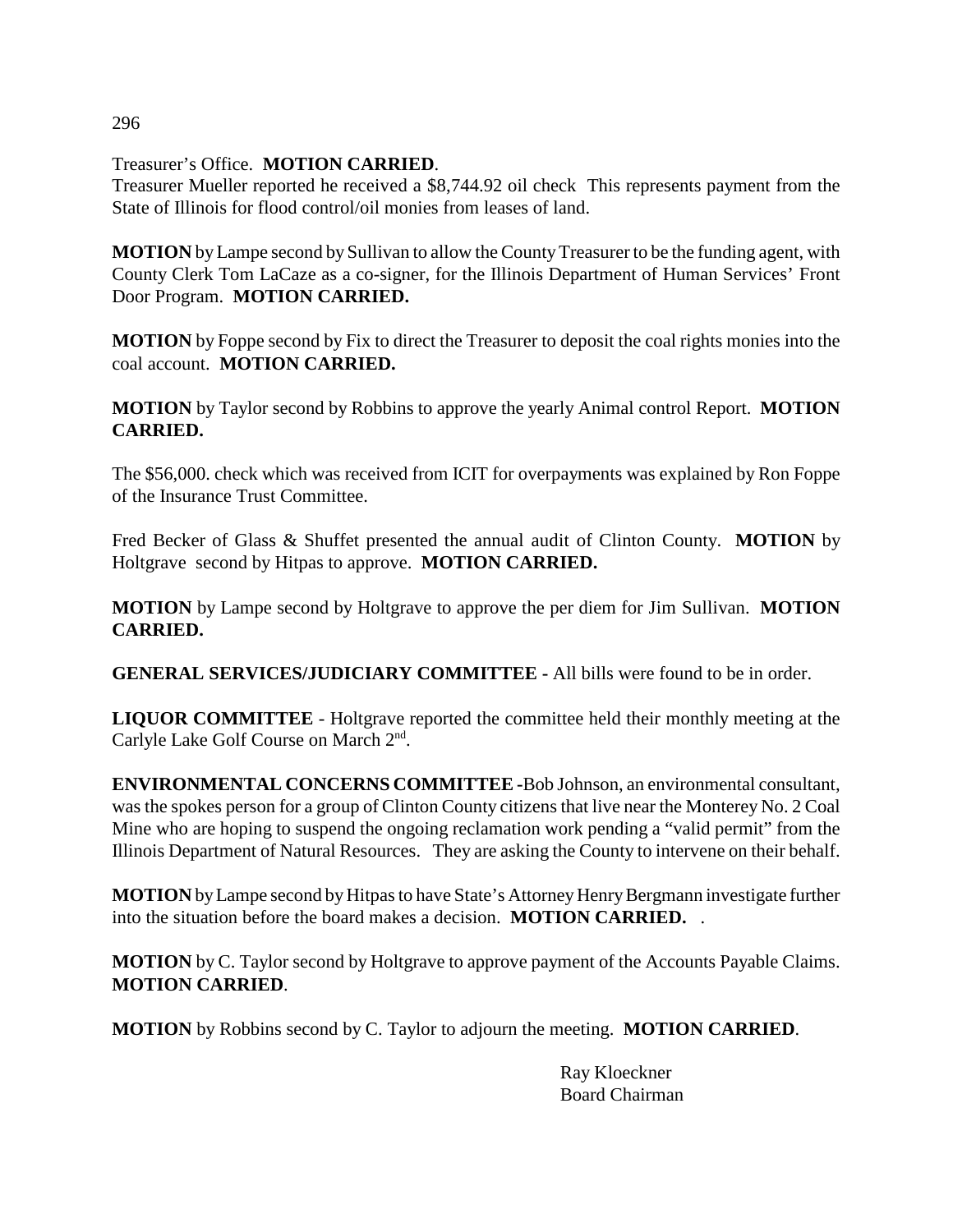Treasurer's Office. **MOTION CARRIED**.

Treasurer Mueller reported he received a \$8,744.92 oil check This represents payment from the State of Illinois for flood control/oil monies from leases of land.

**MOTION** by Lampe second by Sullivan to allow the County Treasurer to be the funding agent, with County Clerk Tom LaCaze as a co-signer, for the Illinois Department of Human Services' Front Door Program. **MOTION CARRIED.**

**MOTION** by Foppe second by Fix to direct the Treasurer to deposit the coal rights monies into the coal account. **MOTION CARRIED.**

**MOTION** by Taylor second by Robbins to approve the yearly Animal control Report. **MOTION CARRIED.**

The \$56,000. check which was received from ICIT for overpayments was explained by Ron Foppe of the Insurance Trust Committee.

Fred Becker of Glass & Shuffet presented the annual audit of Clinton County. **MOTION** by Holtgrave second by Hitpas to approve. **MOTION CARRIED.**

**MOTION** by Lampe second by Holtgrave to approve the per diem for Jim Sullivan. **MOTION CARRIED.**

**GENERAL SERVICES/JUDICIARY COMMITTEE -** All bills were found to be in order.

**LIQUOR COMMITTEE** - Holtgrave reported the committee held their monthly meeting at the Carlyle Lake Golf Course on March 2<sup>nd</sup>.

**ENVIRONMENTAL CONCERNS COMMITTEE -**Bob Johnson, an environmental consultant, was the spokes person for a group of Clinton County citizens that live near the Monterey No. 2 Coal Mine who are hoping to suspend the ongoing reclamation work pending a "valid permit" from the Illinois Department of Natural Resources. They are asking the County to intervene on their behalf.

**MOTION** by Lampe second by Hitpas to have State's Attorney Henry Bergmann investigate further into the situation before the board makes a decision. **MOTION CARRIED.** .

**MOTION** by C. Taylor second by Holtgrave to approve payment of the Accounts Payable Claims. **MOTION CARRIED**.

**MOTION** by Robbins second by C. Taylor to adjourn the meeting. **MOTION CARRIED**.

Ray Kloeckner Board Chairman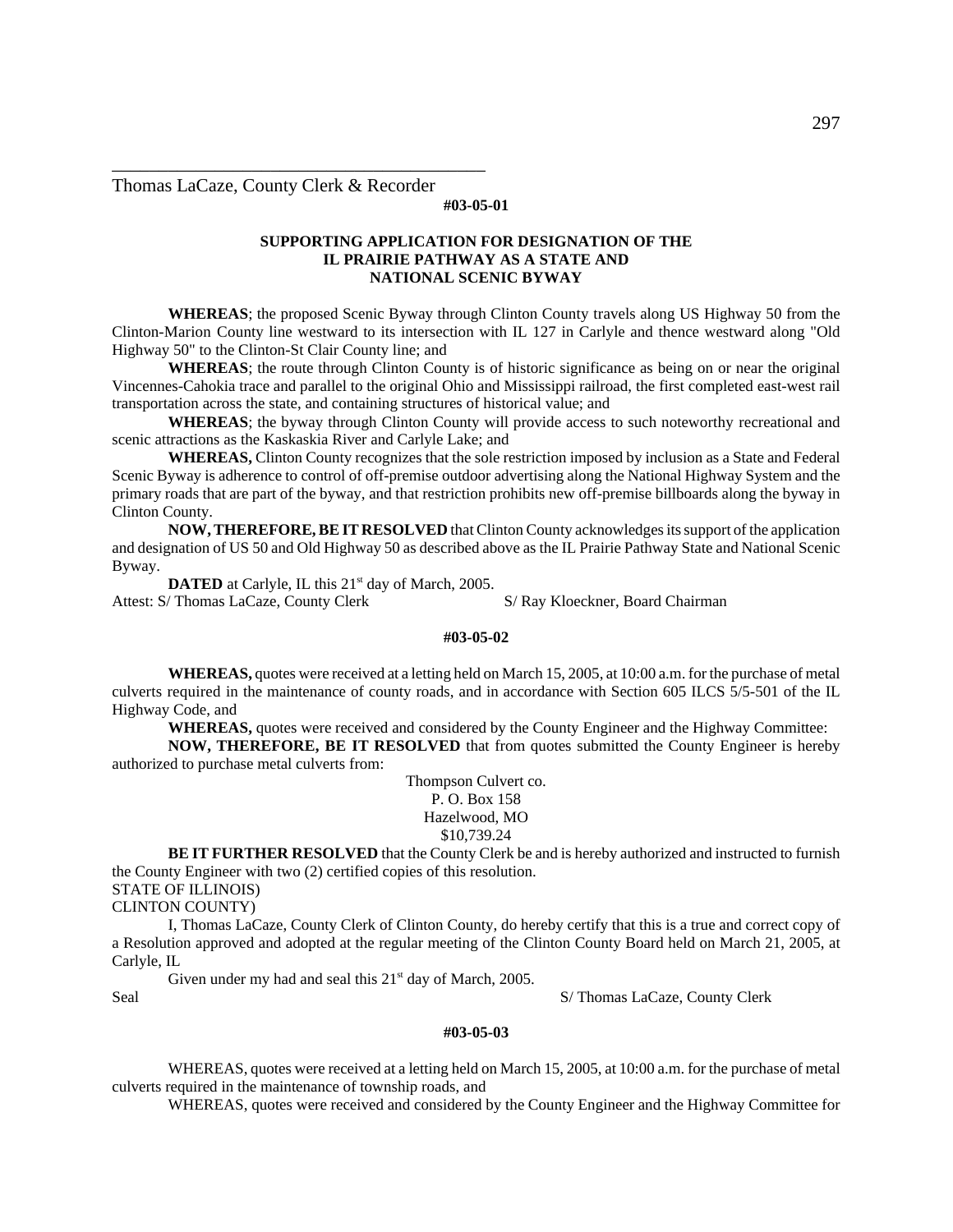Thomas LaCaze, County Clerk & Recorder

\_\_\_\_\_\_\_\_\_\_\_\_\_\_\_\_\_\_\_\_\_\_\_\_\_\_\_\_\_\_\_\_\_\_\_\_\_\_\_\_

#### **#03-05-01**

#### **SUPPORTING APPLICATION FOR DESIGNATION OF THE IL PRAIRIE PATHWAY AS A STATE AND NATIONAL SCENIC BYWAY**

**WHEREAS**; the proposed Scenic Byway through Clinton County travels along US Highway 50 from the Clinton-Marion County line westward to its intersection with IL 127 in Carlyle and thence westward along "Old Highway 50" to the Clinton-St Clair County line; and

**WHEREAS**; the route through Clinton County is of historic significance as being on or near the original Vincennes-Cahokia trace and parallel to the original Ohio and Mississippi railroad, the first completed east-west rail transportation across the state, and containing structures of historical value; and

**WHEREAS**; the byway through Clinton County will provide access to such noteworthy recreational and scenic attractions as the Kaskaskia River and Carlyle Lake; and

**WHEREAS,** Clinton County recognizes that the sole restriction imposed by inclusion as a State and Federal Scenic Byway is adherence to control of off-premise outdoor advertising along the National Highway System and the primary roads that are part of the byway, and that restriction prohibits new off-premise billboards along the byway in Clinton County.

**NOW, THEREFORE, BE IT RESOLVED** that Clinton County acknowledges its support of the application and designation of US 50 and Old Highway 50 as described above as the IL Prairie Pathway State and National Scenic Byway.

**DATED** at Carlyle, IL this 21<sup>st</sup> day of March, 2005. Attest: S/ Thomas LaCaze, County Clerk S/ Ray Kloeckner, Board Chairman

#### **#03-05-02**

**WHEREAS,** quotes were received at a letting held on March 15, 2005, at 10:00 a.m. for the purchase of metal culverts required in the maintenance of county roads, and in accordance with Section 605 ILCS 5/5-501 of the IL Highway Code, and

**WHEREAS,** quotes were received and considered by the County Engineer and the Highway Committee:

**NOW, THEREFORE, BE IT RESOLVED** that from quotes submitted the County Engineer is hereby authorized to purchase metal culverts from:

> Thompson Culvert co. P. O. Box 158 Hazelwood, MO \$10,739.24

**BE IT FURTHER RESOLVED** that the County Clerk be and is hereby authorized and instructed to furnish the County Engineer with two (2) certified copies of this resolution.

STATE OF ILLINOIS)

CLINTON COUNTY)

I, Thomas LaCaze, County Clerk of Clinton County, do hereby certify that this is a true and correct copy of a Resolution approved and adopted at the regular meeting of the Clinton County Board held on March 21, 2005, at Carlyle, IL

Given under my had and seal this  $21<sup>st</sup>$  day of March, 2005. Seal S/ Thomas LaCaze, County Clerk

#### **#03-05-03**

WHEREAS, quotes were received at a letting held on March 15, 2005, at 10:00 a.m. for the purchase of metal culverts required in the maintenance of township roads, and

WHEREAS, quotes were received and considered by the County Engineer and the Highway Committee for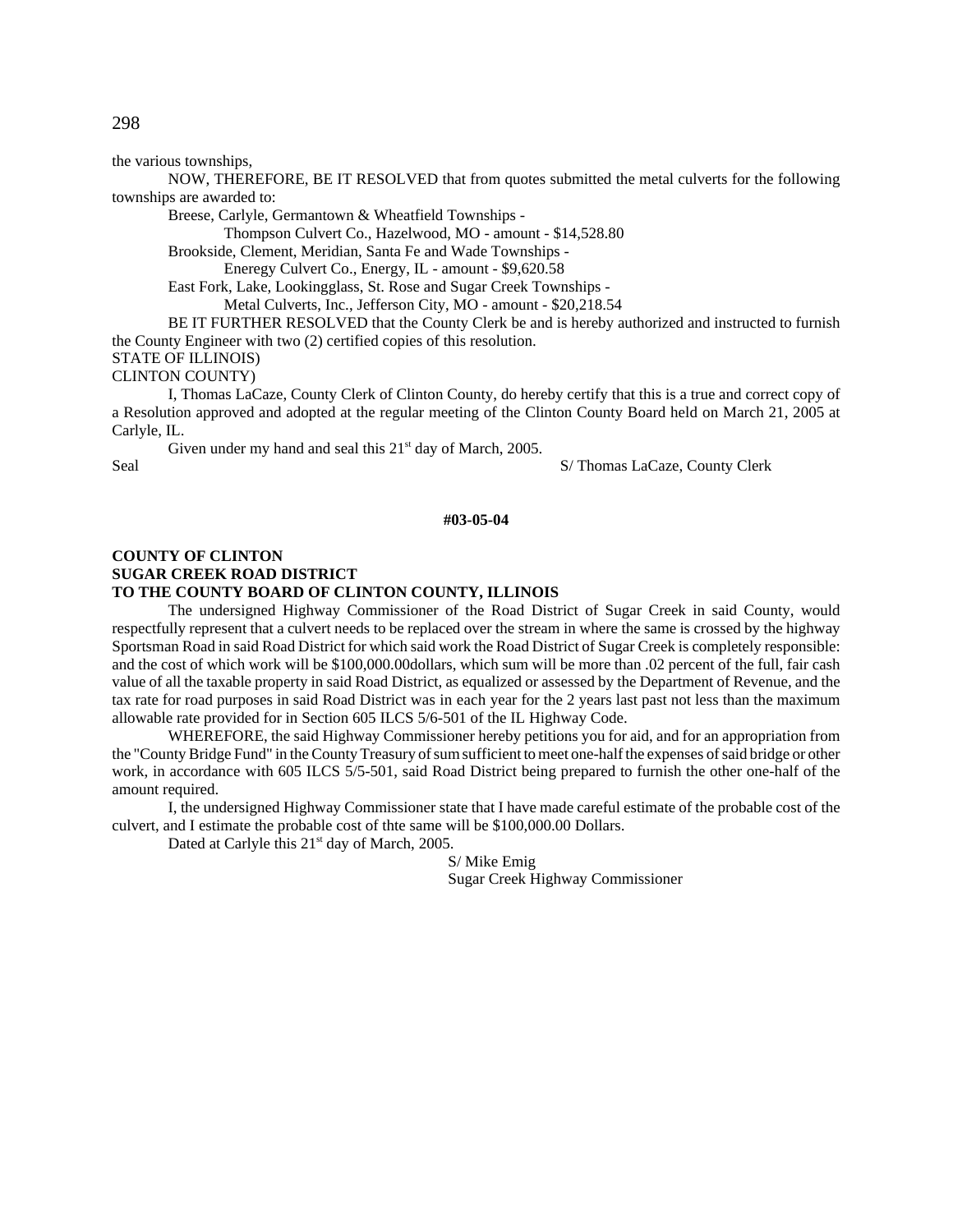the various townships,

NOW, THEREFORE, BE IT RESOLVED that from quotes submitted the metal culverts for the following townships are awarded to:

Breese, Carlyle, Germantown & Wheatfield Townships -

Thompson Culvert Co., Hazelwood, MO - amount - \$14,528.80

Brookside, Clement, Meridian, Santa Fe and Wade Townships -

Eneregy Culvert Co., Energy, IL - amount - \$9,620.58

East Fork, Lake, Lookingglass, St. Rose and Sugar Creek Townships -

Metal Culverts, Inc., Jefferson City, MO - amount - \$20,218.54

BE IT FURTHER RESOLVED that the County Clerk be and is hereby authorized and instructed to furnish the County Engineer with two (2) certified copies of this resolution. STATE OF ILLINOIS)

CLINTON COUNTY)

I, Thomas LaCaze, County Clerk of Clinton County, do hereby certify that this is a true and correct copy of a Resolution approved and adopted at the regular meeting of the Clinton County Board held on March 21, 2005 at Carlyle, IL.

Given under my hand and seal this  $21<sup>st</sup>$  day of March, 2005.

Seal S/ Thomas LaCaze, County Clerk

**#03-05-04**

#### **COUNTY OF CLINTON SUGAR CREEK ROAD DISTRICT TO THE COUNTY BOARD OF CLINTON COUNTY, ILLINOIS**

The undersigned Highway Commissioner of the Road District of Sugar Creek in said County, would respectfully represent that a culvert needs to be replaced over the stream in where the same is crossed by the highway Sportsman Road in said Road District for which said work the Road District of Sugar Creek is completely responsible: and the cost of which work will be \$100,000.00dollars, which sum will be more than .02 percent of the full, fair cash value of all the taxable property in said Road District, as equalized or assessed by the Department of Revenue, and the tax rate for road purposes in said Road District was in each year for the 2 years last past not less than the maximum allowable rate provided for in Section 605 ILCS 5/6-501 of the IL Highway Code.

WHEREFORE, the said Highway Commissioner hereby petitions you for aid, and for an appropriation from the "County Bridge Fund" in the County Treasury of sum sufficient to meet one-half the expenses of said bridge or other work, in accordance with 605 ILCS 5/5-501, said Road District being prepared to furnish the other one-half of the amount required.

I, the undersigned Highway Commissioner state that I have made careful estimate of the probable cost of the culvert, and I estimate the probable cost of thte same will be \$100,000.00 Dollars.

Dated at Carlyle this 21<sup>st</sup> day of March, 2005.

S/ Mike Emig Sugar Creek Highway Commissioner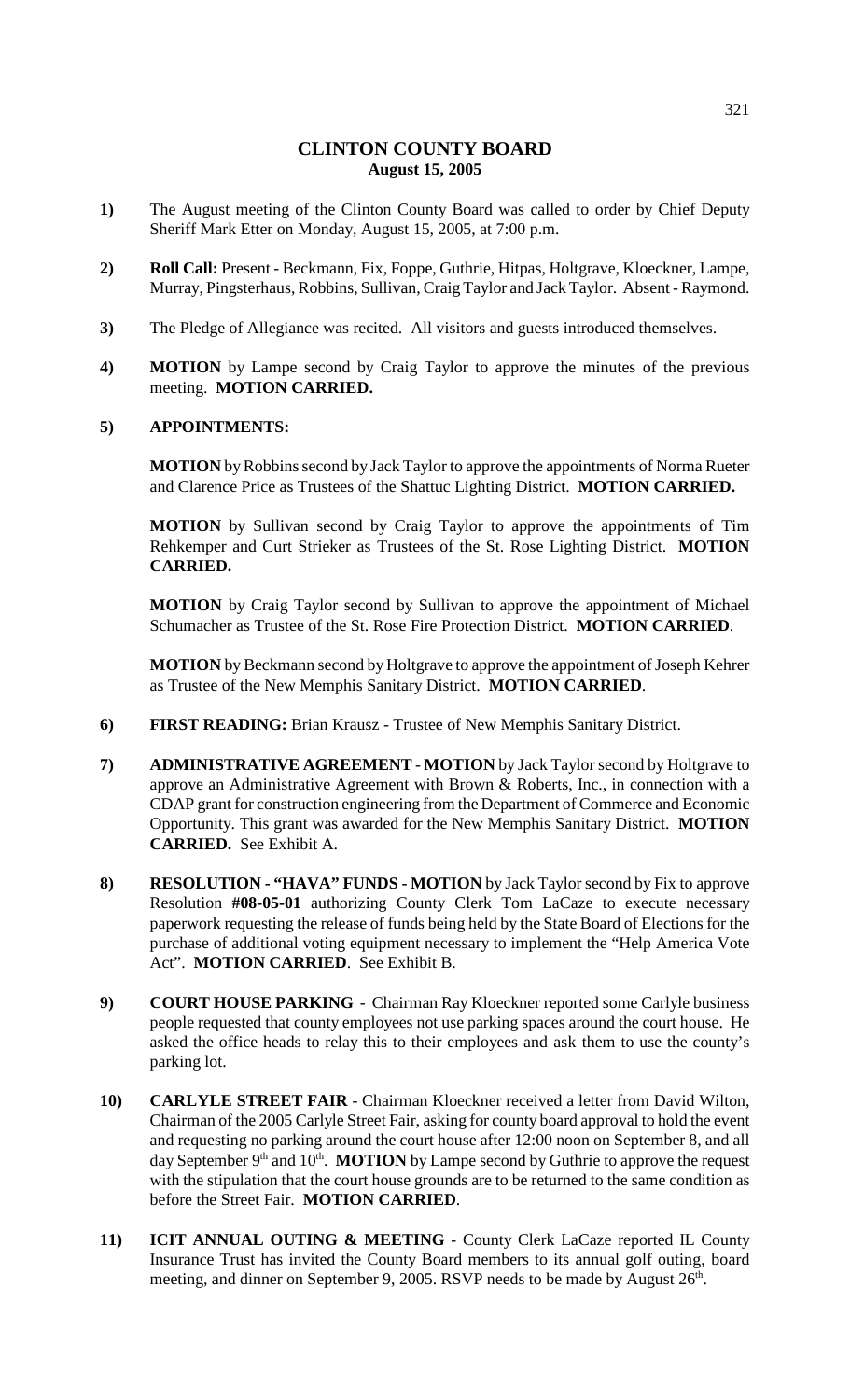# **CLINTON COUNTY BOARD August 15, 2005**

- **1)** The August meeting of the Clinton County Board was called to order by Chief Deputy Sheriff Mark Etter on Monday, August 15, 2005, at 7:00 p.m.
- **2) Roll Call:** Present Beckmann, Fix, Foppe, Guthrie, Hitpas, Holtgrave, Kloeckner, Lampe, Murray, Pingsterhaus, Robbins, Sullivan, Craig Taylor and Jack Taylor. Absent - Raymond.
- **3)** The Pledge of Allegiance was recited. All visitors and guests introduced themselves.
- **4) MOTION** by Lampe second by Craig Taylor to approve the minutes of the previous meeting. **MOTION CARRIED.**

## **5) APPOINTMENTS:**

**MOTION** by Robbins second by Jack Taylor to approve the appointments of Norma Rueter and Clarence Price as Trustees of the Shattuc Lighting District. **MOTION CARRIED.**

**MOTION** by Sullivan second by Craig Taylor to approve the appointments of Tim Rehkemper and Curt Strieker as Trustees of the St. Rose Lighting District. **MOTION CARRIED.**

**MOTION** by Craig Taylor second by Sullivan to approve the appointment of Michael Schumacher as Trustee of the St. Rose Fire Protection District. **MOTION CARRIED**.

**MOTION** by Beckmann second by Holtgrave to approve the appointment of Joseph Kehrer as Trustee of the New Memphis Sanitary District. **MOTION CARRIED**.

- **6) FIRST READING:** Brian Krausz Trustee of New Memphis Sanitary District.
- **7) ADMINISTRATIVE AGREEMENT MOTION** by Jack Taylor second by Holtgrave to approve an Administrative Agreement with Brown & Roberts, Inc., in connection with a CDAP grant for construction engineering from the Department of Commerce and Economic Opportunity. This grant was awarded for the New Memphis Sanitary District. **MOTION CARRIED.** See Exhibit A.
- **8) RESOLUTION "HAVA" FUNDS MOTION** by Jack Taylor second by Fix to approve Resolution **#08-05-01** authorizing County Clerk Tom LaCaze to execute necessary paperwork requesting the release of funds being held by the State Board of Elections for the purchase of additional voting equipment necessary to implement the "Help America Vote Act". **MOTION CARRIED**. See Exhibit B.
- **9) COURT HOUSE PARKING** Chairman Ray Kloeckner reported some Carlyle business people requested that county employees not use parking spaces around the court house. He asked the office heads to relay this to their employees and ask them to use the county's parking lot.
- **10) CARLYLE STREET FAIR** Chairman Kloeckner received a letter from David Wilton, Chairman of the 2005 Carlyle Street Fair, asking for county board approval to hold the event and requesting no parking around the court house after 12:00 noon on September 8, and all day September  $9<sup>th</sup>$  and  $10<sup>th</sup>$ . **MOTION** by Lampe second by Guthrie to approve the request with the stipulation that the court house grounds are to be returned to the same condition as before the Street Fair. **MOTION CARRIED**.
- **11) ICIT ANNUAL OUTING & MEETING** County Clerk LaCaze reported IL County Insurance Trust has invited the County Board members to its annual golf outing, board meeting, and dinner on September 9, 2005. RSVP needs to be made by August  $26<sup>th</sup>$ .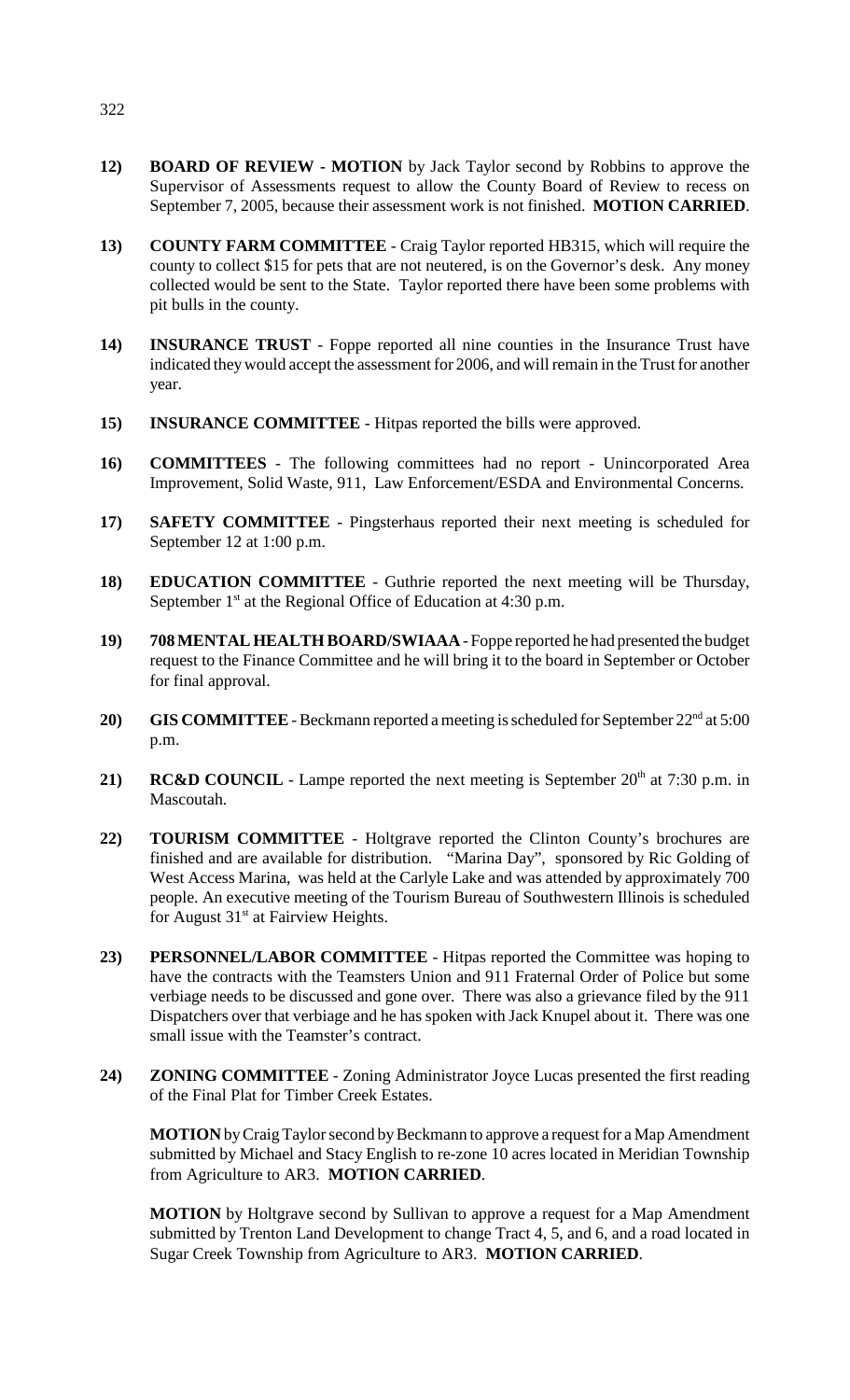- **12) BOARD OF REVIEW MOTION** by Jack Taylor second by Robbins to approve the Supervisor of Assessments request to allow the County Board of Review to recess on September 7, 2005, because their assessment work is not finished. **MOTION CARRIED**.
- **13) COUNTY FARM COMMITTEE** Craig Taylor reported HB315, which will require the county to collect \$15 for pets that are not neutered, is on the Governor's desk. Any money collected would be sent to the State. Taylor reported there have been some problems with pit bulls in the county.
- **14) INSURANCE TRUST** Foppe reported all nine counties in the Insurance Trust have indicated they would accept the assessment for 2006, and will remain in the Trust for another year.
- **15) INSURANCE COMMITTEE**  Hitpas reported the bills were approved.
- **16) COMMITTEES** The following committees had no report Unincorporated Area Improvement, Solid Waste, 911, Law Enforcement/ESDA and Environmental Concerns.
- **17) SAFETY COMMITTEE** Pingsterhaus reported their next meeting is scheduled for September 12 at 1:00 p.m.
- **18) EDUCATION COMMITTEE** Guthrie reported the next meeting will be Thursday, September  $1<sup>st</sup>$  at the Regional Office of Education at 4:30 p.m.
- **19) 708 MENTAL HEALTH BOARD/SWIAAA** Foppe reported he had presented the budget request to the Finance Committee and he will bring it to the board in September or October for final approval.
- **20)** GIS COMMITTEE Beckmann reported a meeting is scheduled for September  $22<sup>nd</sup>$  at 5:00 p.m.
- **21) RC&D COUNCIL** Lampe reported the next meeting is September  $20<sup>th</sup>$  at 7:30 p.m. in Mascoutah.
- **22) TOURISM COMMITTEE** Holtgrave reported the Clinton County's brochures are finished and are available for distribution. "Marina Day", sponsored by Ric Golding of West Access Marina, was held at the Carlyle Lake and was attended by approximately 700 people. An executive meeting of the Tourism Bureau of Southwestern Illinois is scheduled for August  $31<sup>st</sup>$  at Fairview Heights.
- **23) PERSONNEL/LABOR COMMITTEE** Hitpas reported the Committee was hoping to have the contracts with the Teamsters Union and 911 Fraternal Order of Police but some verbiage needs to be discussed and gone over. There was also a grievance filed by the 911 Dispatchers over that verbiage and he has spoken with Jack Knupel about it. There was one small issue with the Teamster's contract.
- **24) ZONING COMMITTEE**  Zoning Administrator Joyce Lucas presented the first reading of the Final Plat for Timber Creek Estates.

**MOTION** by Craig Taylor second by Beckmann to approve a request for a Map Amendment submitted by Michael and Stacy English to re-zone 10 acres located in Meridian Township from Agriculture to AR3. **MOTION CARRIED**.

**MOTION** by Holtgrave second by Sullivan to approve a request for a Map Amendment submitted by Trenton Land Development to change Tract 4, 5, and 6, and a road located in Sugar Creek Township from Agriculture to AR3. **MOTION CARRIED**.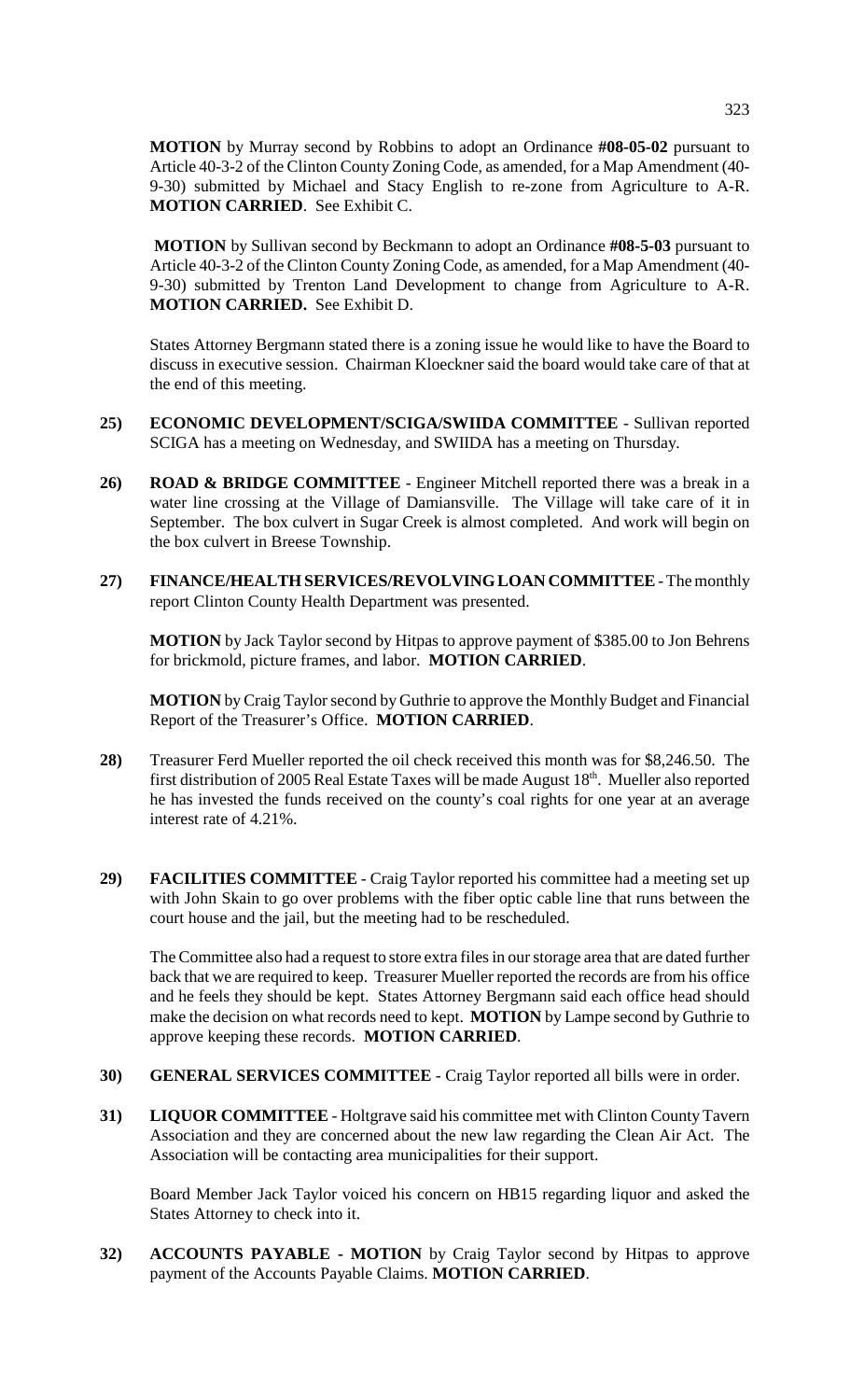**MOTION** by Murray second by Robbins to adopt an Ordinance **#08-05-02** pursuant to Article 40-3-2 of the Clinton County Zoning Code, as amended, for a Map Amendment (40- 9-30) submitted by Michael and Stacy English to re-zone from Agriculture to A-R. **MOTION CARRIED**. See Exhibit C.

**MOTION** by Sullivan second by Beckmann to adopt an Ordinance **#08-5-03** pursuant to Article 40-3-2 of the Clinton County Zoning Code, as amended, for a Map Amendment (40- 9-30) submitted by Trenton Land Development to change from Agriculture to A-R. **MOTION CARRIED.** See Exhibit D.

States Attorney Bergmann stated there is a zoning issue he would like to have the Board to discuss in executive session. Chairman Kloeckner said the board would take care of that at the end of this meeting.

- **25) ECONOMIC DEVELOPMENT/SCIGA/SWIIDA COMMITTEE** Sullivan reported SCIGA has a meeting on Wednesday, and SWIIDA has a meeting on Thursday.
- **26) ROAD & BRIDGE COMMITTEE** Engineer Mitchell reported there was a break in a water line crossing at the Village of Damiansville. The Village will take care of it in September. The box culvert in Sugar Creek is almost completed. And work will begin on the box culvert in Breese Township.
- **27) FINANCE/HEALTH SERVICES/REVOLVING LOAN COMMITTEE** The monthly report Clinton County Health Department was presented.

**MOTION** by Jack Taylor second by Hitpas to approve payment of \$385.00 to Jon Behrens for brickmold, picture frames, and labor. **MOTION CARRIED**.

**MOTION** by Craig Taylor second by Guthrie to approve the Monthly Budget and Financial Report of the Treasurer's Office. **MOTION CARRIED**.

- **28)** Treasurer Ferd Mueller reported the oil check received this month was for \$8,246.50. The first distribution of 2005 Real Estate Taxes will be made August  $18<sup>th</sup>$ . Mueller also reported he has invested the funds received on the county's coal rights for one year at an average interest rate of 4.21%.
- **29) FACILITIES COMMITTEE**  Craig Taylor reported his committee had a meeting set up with John Skain to go over problems with the fiber optic cable line that runs between the court house and the jail, but the meeting had to be rescheduled.

The Committee also had a request to store extra files in our storage area that are dated further back that we are required to keep. Treasurer Mueller reported the records are from his office and he feels they should be kept. States Attorney Bergmann said each office head should make the decision on what records need to kept. **MOTION** by Lampe second by Guthrie to approve keeping these records. **MOTION CARRIED**.

- **30) GENERAL SERVICES COMMITTEE**  Craig Taylor reported all bills were in order.
- **31) LIQUOR COMMITTEE** Holtgrave said his committee met with Clinton County Tavern Association and they are concerned about the new law regarding the Clean Air Act. The Association will be contacting area municipalities for their support.

Board Member Jack Taylor voiced his concern on HB15 regarding liquor and asked the States Attorney to check into it.

**32) ACCOUNTS PAYABLE - MOTION** by Craig Taylor second by Hitpas to approve payment of the Accounts Payable Claims. **MOTION CARRIED**.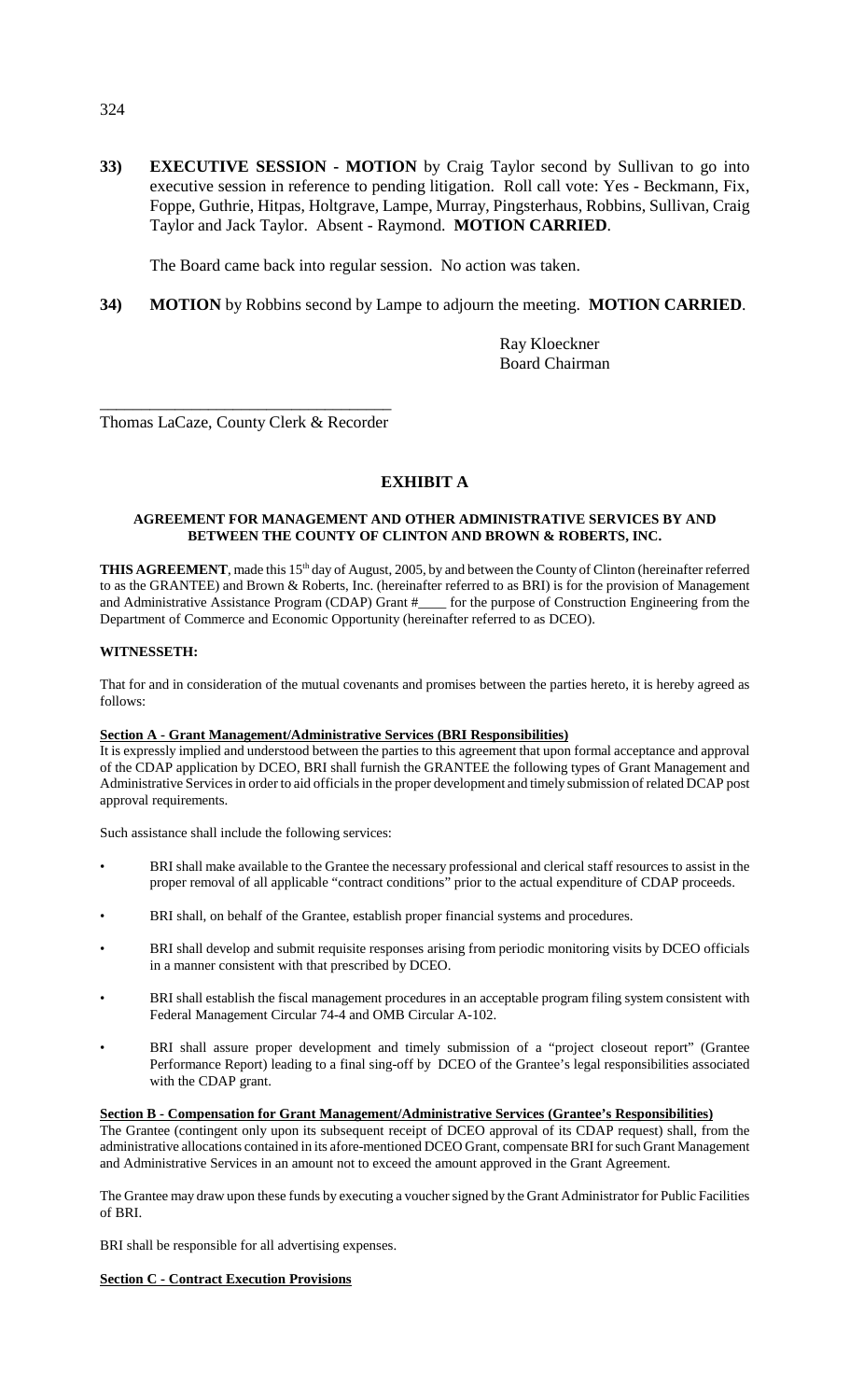**33) EXECUTIVE SESSION - MOTION** by Craig Taylor second by Sullivan to go into executive session in reference to pending litigation. Roll call vote: Yes - Beckmann, Fix, Foppe, Guthrie, Hitpas, Holtgrave, Lampe, Murray, Pingsterhaus, Robbins, Sullivan, Craig Taylor and Jack Taylor. Absent - Raymond. **MOTION CARRIED**.

The Board came back into regular session. No action was taken.

**34) MOTION** by Robbins second by Lampe to adjourn the meeting. **MOTION CARRIED**.

Ray Kloeckner Board Chairman

\_\_\_\_\_\_\_\_\_\_\_\_\_\_\_\_\_\_\_\_\_\_\_\_\_\_\_\_\_\_\_\_\_\_\_ Thomas LaCaze, County Clerk & Recorder

## **EXHIBIT A**

### **AGREEMENT FOR MANAGEMENT AND OTHER ADMINISTRATIVE SERVICES BY AND BETWEEN THE COUNTY OF CLINTON AND BROWN & ROBERTS, INC.**

THIS AGREEMENT, made this 15<sup>th</sup> day of August, 2005, by and between the County of Clinton (hereinafter referred to as the GRANTEE) and Brown & Roberts, Inc. (hereinafter referred to as BRI) is for the provision of Management and Administrative Assistance Program (CDAP) Grant #\_\_\_\_ for the purpose of Construction Engineering from the Department of Commerce and Economic Opportunity (hereinafter referred to as DCEO).

### **WITNESSETH:**

That for and in consideration of the mutual covenants and promises between the parties hereto, it is hereby agreed as follows:

### **Section A - Grant Management/Administrative Services (BRI Responsibilities)**

It is expressly implied and understood between the parties to this agreement that upon formal acceptance and approval of the CDAP application by DCEO, BRI shall furnish the GRANTEE the following types of Grant Management and Administrative Services in order to aid officials in the proper development and timely submission of related DCAP post approval requirements.

Such assistance shall include the following services:

- BRI shall make available to the Grantee the necessary professional and clerical staff resources to assist in the proper removal of all applicable "contract conditions" prior to the actual expenditure of CDAP proceeds.
- BRI shall, on behalf of the Grantee, establish proper financial systems and procedures.
- BRI shall develop and submit requisite responses arising from periodic monitoring visits by DCEO officials in a manner consistent with that prescribed by DCEO.
- BRI shall establish the fiscal management procedures in an acceptable program filing system consistent with Federal Management Circular 74-4 and OMB Circular A-102.
- BRI shall assure proper development and timely submission of a "project closeout report" (Grantee Performance Report) leading to a final sing-off by DCEO of the Grantee's legal responsibilities associated with the CDAP grant.

### **Section B - Compensation for Grant Management/Administrative Services (Grantee's Responsibilities)**

The Grantee (contingent only upon its subsequent receipt of DCEO approval of its CDAP request) shall, from the administrative allocations contained in its afore-mentioned DCEO Grant, compensate BRI for such Grant Management and Administrative Services in an amount not to exceed the amount approved in the Grant Agreement.

The Grantee may draw upon these funds by executing a voucher signed by the Grant Administrator for Public Facilities of BRI.

BRI shall be responsible for all advertising expenses.

### **Section C - Contract Execution Provisions**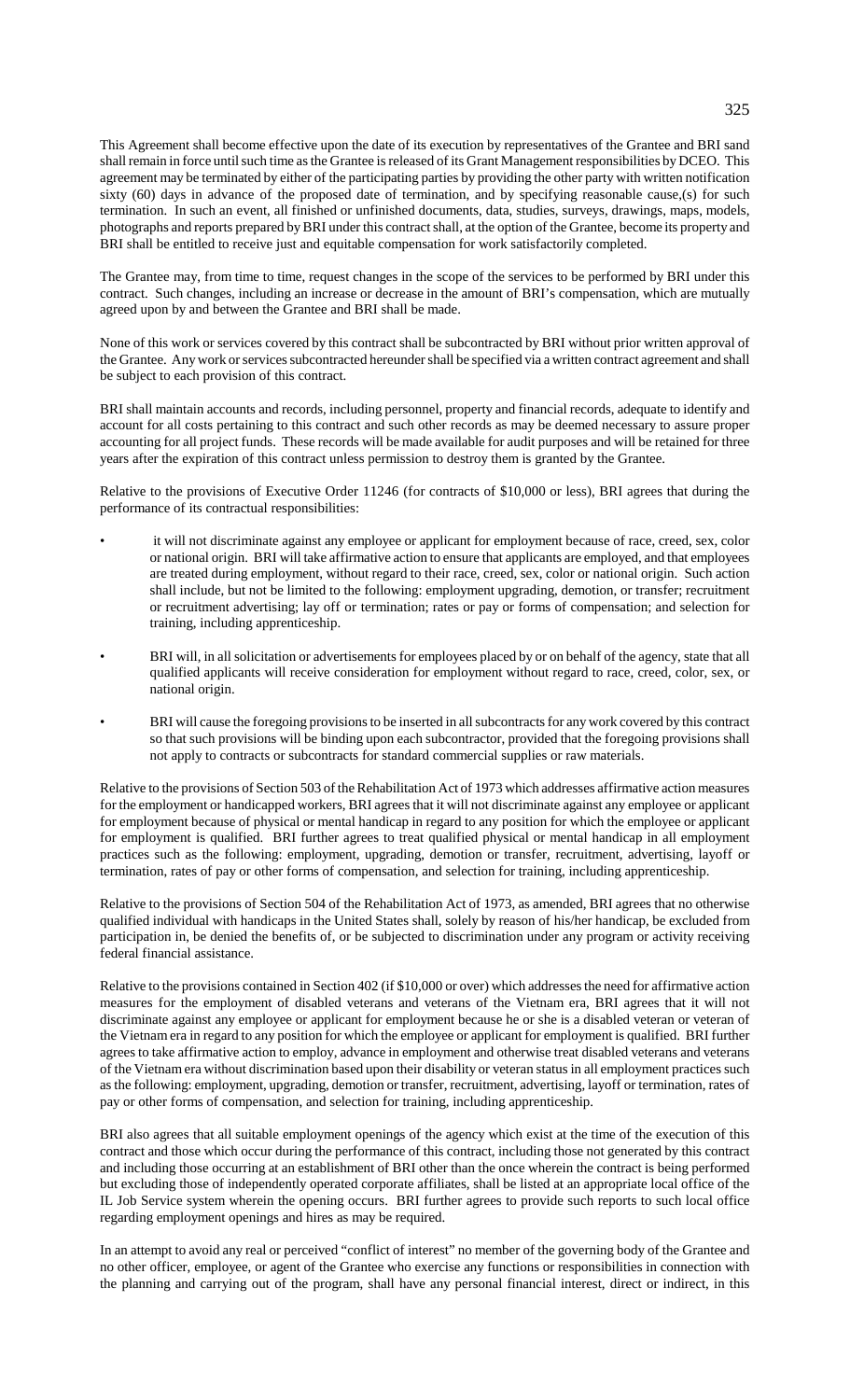This Agreement shall become effective upon the date of its execution by representatives of the Grantee and BRI sand shall remain in force until such time as the Grantee is released of its Grant Management responsibilities by DCEO. This agreement may be terminated by either of the participating parties by providing the other party with written notification sixty (60) days in advance of the proposed date of termination, and by specifying reasonable cause,(s) for such termination. In such an event, all finished or unfinished documents, data, studies, surveys, drawings, maps, models, photographs and reports prepared by BRI under this contract shall, at the option of the Grantee, become its property and BRI shall be entitled to receive just and equitable compensation for work satisfactorily completed.

The Grantee may, from time to time, request changes in the scope of the services to be performed by BRI under this contract. Such changes, including an increase or decrease in the amount of BRI's compensation, which are mutually agreed upon by and between the Grantee and BRI shall be made.

None of this work or services covered by this contract shall be subcontracted by BRI without prior written approval of the Grantee. Any work or services subcontracted hereunder shall be specified via a written contract agreement and shall be subject to each provision of this contract.

BRI shall maintain accounts and records, including personnel, property and financial records, adequate to identify and account for all costs pertaining to this contract and such other records as may be deemed necessary to assure proper accounting for all project funds. These records will be made available for audit purposes and will be retained for three years after the expiration of this contract unless permission to destroy them is granted by the Grantee.

Relative to the provisions of Executive Order 11246 (for contracts of \$10,000 or less), BRI agrees that during the performance of its contractual responsibilities:

- it will not discriminate against any employee or applicant for employment because of race, creed, sex, color or national origin. BRI will take affirmative action to ensure that applicants are employed, and that employees are treated during employment, without regard to their race, creed, sex, color or national origin. Such action shall include, but not be limited to the following: employment upgrading, demotion, or transfer; recruitment or recruitment advertising; lay off or termination; rates or pay or forms of compensation; and selection for training, including apprenticeship.
- BRI will, in all solicitation or advertisements for employees placed by or on behalf of the agency, state that all qualified applicants will receive consideration for employment without regard to race, creed, color, sex, or national origin.
- BRI will cause the foregoing provisions to be inserted in all subcontracts for any work covered by this contract so that such provisions will be binding upon each subcontractor, provided that the foregoing provisions shall not apply to contracts or subcontracts for standard commercial supplies or raw materials.

Relative to the provisions of Section 503 of the Rehabilitation Act of 1973 which addresses affirmative action measures for the employment or handicapped workers, BRI agrees that it will not discriminate against any employee or applicant for employment because of physical or mental handicap in regard to any position for which the employee or applicant for employment is qualified. BRI further agrees to treat qualified physical or mental handicap in all employment practices such as the following: employment, upgrading, demotion or transfer, recruitment, advertising, layoff or termination, rates of pay or other forms of compensation, and selection for training, including apprenticeship.

Relative to the provisions of Section 504 of the Rehabilitation Act of 1973, as amended, BRI agrees that no otherwise qualified individual with handicaps in the United States shall, solely by reason of his/her handicap, be excluded from participation in, be denied the benefits of, or be subjected to discrimination under any program or activity receiving federal financial assistance.

Relative to the provisions contained in Section 402 (if \$10,000 or over) which addresses the need for affirmative action measures for the employment of disabled veterans and veterans of the Vietnam era, BRI agrees that it will not discriminate against any employee or applicant for employment because he or she is a disabled veteran or veteran of the Vietnam era in regard to any position for which the employee or applicant for employment is qualified. BRI further agrees to take affirmative action to employ, advance in employment and otherwise treat disabled veterans and veterans of the Vietnam era without discrimination based upon their disability or veteran status in all employment practices such as the following: employment, upgrading, demotion or transfer, recruitment, advertising, layoff or termination, rates of pay or other forms of compensation, and selection for training, including apprenticeship.

BRI also agrees that all suitable employment openings of the agency which exist at the time of the execution of this contract and those which occur during the performance of this contract, including those not generated by this contract and including those occurring at an establishment of BRI other than the once wherein the contract is being performed but excluding those of independently operated corporate affiliates, shall be listed at an appropriate local office of the IL Job Service system wherein the opening occurs. BRI further agrees to provide such reports to such local office regarding employment openings and hires as may be required.

In an attempt to avoid any real or perceived "conflict of interest" no member of the governing body of the Grantee and no other officer, employee, or agent of the Grantee who exercise any functions or responsibilities in connection with the planning and carrying out of the program, shall have any personal financial interest, direct or indirect, in this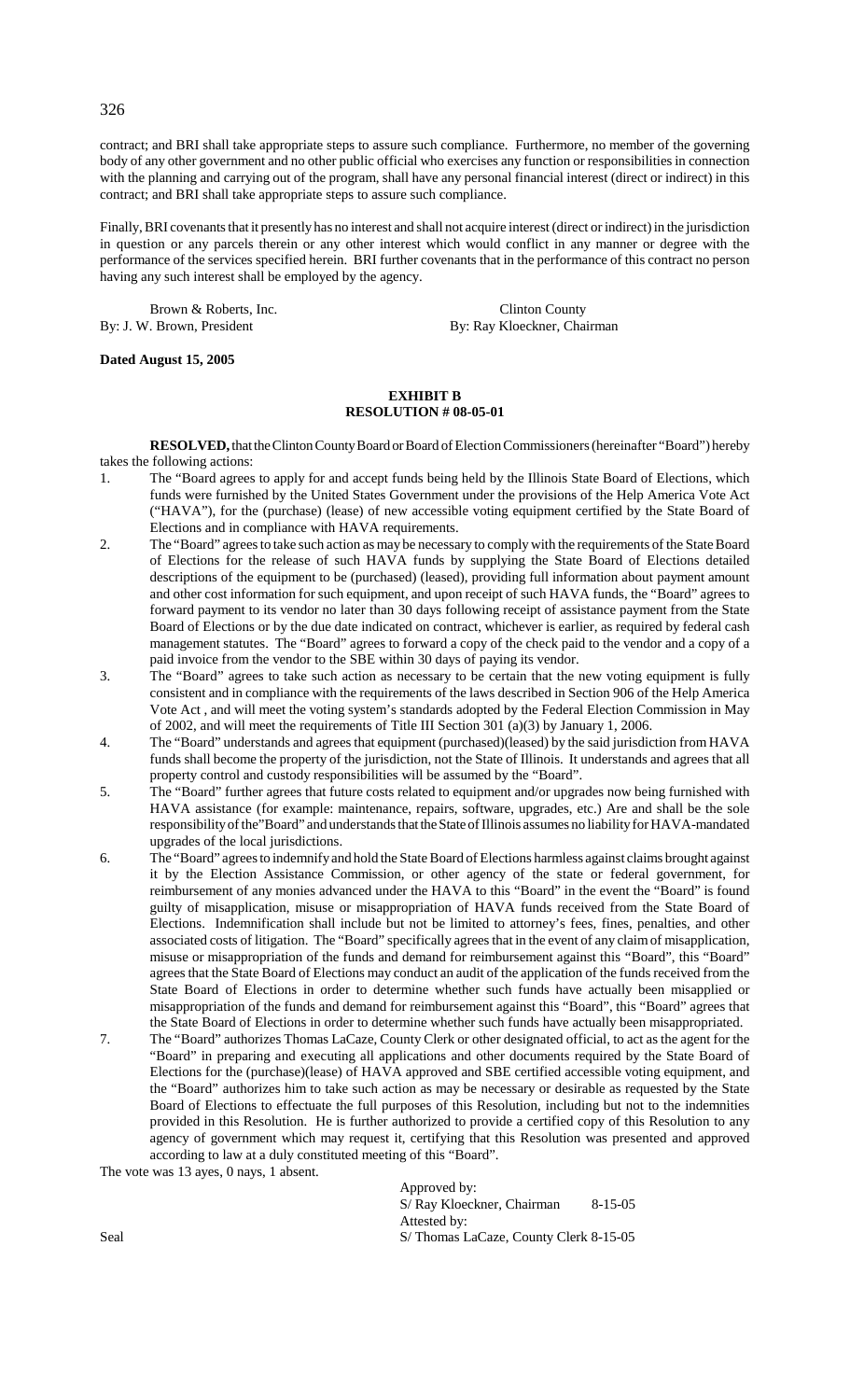contract; and BRI shall take appropriate steps to assure such compliance. Furthermore, no member of the governing body of any other government and no other public official who exercises any function or responsibilities in connection with the planning and carrying out of the program, shall have any personal financial interest (direct or indirect) in this contract; and BRI shall take appropriate steps to assure such compliance.

Finally, BRI covenants that it presently has no interest and shall not acquire interest (direct or indirect) in the jurisdiction in question or any parcels therein or any other interest which would conflict in any manner or degree with the performance of the services specified herein. BRI further covenants that in the performance of this contract no person having any such interest shall be employed by the agency.

Brown & Roberts, Inc. Clinton County By: J. W. Brown, President By: Ray Kloeckner, Chairman

### **Dated August 15, 2005**

### **EXHIBIT B RESOLUTION # 08-05-01**

**RESOLVED,** that the Clinton County Board or Board of Election Commissioners (hereinafter "Board") hereby takes the following actions:

- 1. The "Board agrees to apply for and accept funds being held by the Illinois State Board of Elections, which funds were furnished by the United States Government under the provisions of the Help America Vote Act ("HAVA"), for the (purchase) (lease) of new accessible voting equipment certified by the State Board of Elections and in compliance with HAVA requirements.
- 2. The "Board" agrees to take such action as may be necessary to comply with the requirements of the State Board of Elections for the release of such HAVA funds by supplying the State Board of Elections detailed descriptions of the equipment to be (purchased) (leased), providing full information about payment amount and other cost information for such equipment, and upon receipt of such HAVA funds, the "Board" agrees to forward payment to its vendor no later than 30 days following receipt of assistance payment from the State Board of Elections or by the due date indicated on contract, whichever is earlier, as required by federal cash management statutes. The "Board" agrees to forward a copy of the check paid to the vendor and a copy of a paid invoice from the vendor to the SBE within 30 days of paying its vendor.
- 3. The "Board" agrees to take such action as necessary to be certain that the new voting equipment is fully consistent and in compliance with the requirements of the laws described in Section 906 of the Help America Vote Act , and will meet the voting system's standards adopted by the Federal Election Commission in May of 2002, and will meet the requirements of Title III Section 301 (a)(3) by January 1, 2006.
- 4. The "Board" understands and agrees that equipment (purchased)(leased) by the said jurisdiction from HAVA funds shall become the property of the jurisdiction, not the State of Illinois. It understands and agrees that all property control and custody responsibilities will be assumed by the "Board".
- 5. The "Board" further agrees that future costs related to equipment and/or upgrades now being furnished with HAVA assistance (for example: maintenance, repairs, software, upgrades, etc.) Are and shall be the sole responsibility of the"Board" and understands that the State of Illinois assumes no liability for HAVA-mandated upgrades of the local jurisdictions.
- 6. The "Board" agrees to indemnify and hold the State Board of Elections harmless against claims brought against it by the Election Assistance Commission, or other agency of the state or federal government, for reimbursement of any monies advanced under the HAVA to this "Board" in the event the "Board" is found guilty of misapplication, misuse or misappropriation of HAVA funds received from the State Board of Elections. Indemnification shall include but not be limited to attorney's fees, fines, penalties, and other associated costs of litigation. The "Board" specifically agrees that in the event of any claim of misapplication, misuse or misappropriation of the funds and demand for reimbursement against this "Board", this "Board" agrees that the State Board of Elections may conduct an audit of the application of the funds received from the State Board of Elections in order to determine whether such funds have actually been misapplied or misappropriation of the funds and demand for reimbursement against this "Board", this "Board" agrees that the State Board of Elections in order to determine whether such funds have actually been misappropriated.
- 7. The "Board" authorizes Thomas LaCaze, County Clerk or other designated official, to act as the agent for the "Board" in preparing and executing all applications and other documents required by the State Board of Elections for the (purchase)(lease) of HAVA approved and SBE certified accessible voting equipment, and the "Board" authorizes him to take such action as may be necessary or desirable as requested by the State Board of Elections to effectuate the full purposes of this Resolution, including but not to the indemnities provided in this Resolution. He is further authorized to provide a certified copy of this Resolution to any agency of government which may request it, certifying that this Resolution was presented and approved according to law at a duly constituted meeting of this "Board".

The vote was 13 ayes, 0 nays, 1 absent.

Approved by: S/ Ray Kloeckner, Chairman 8-15-05 Attested by: Seal S/ Thomas LaCaze, County Clerk 8-15-05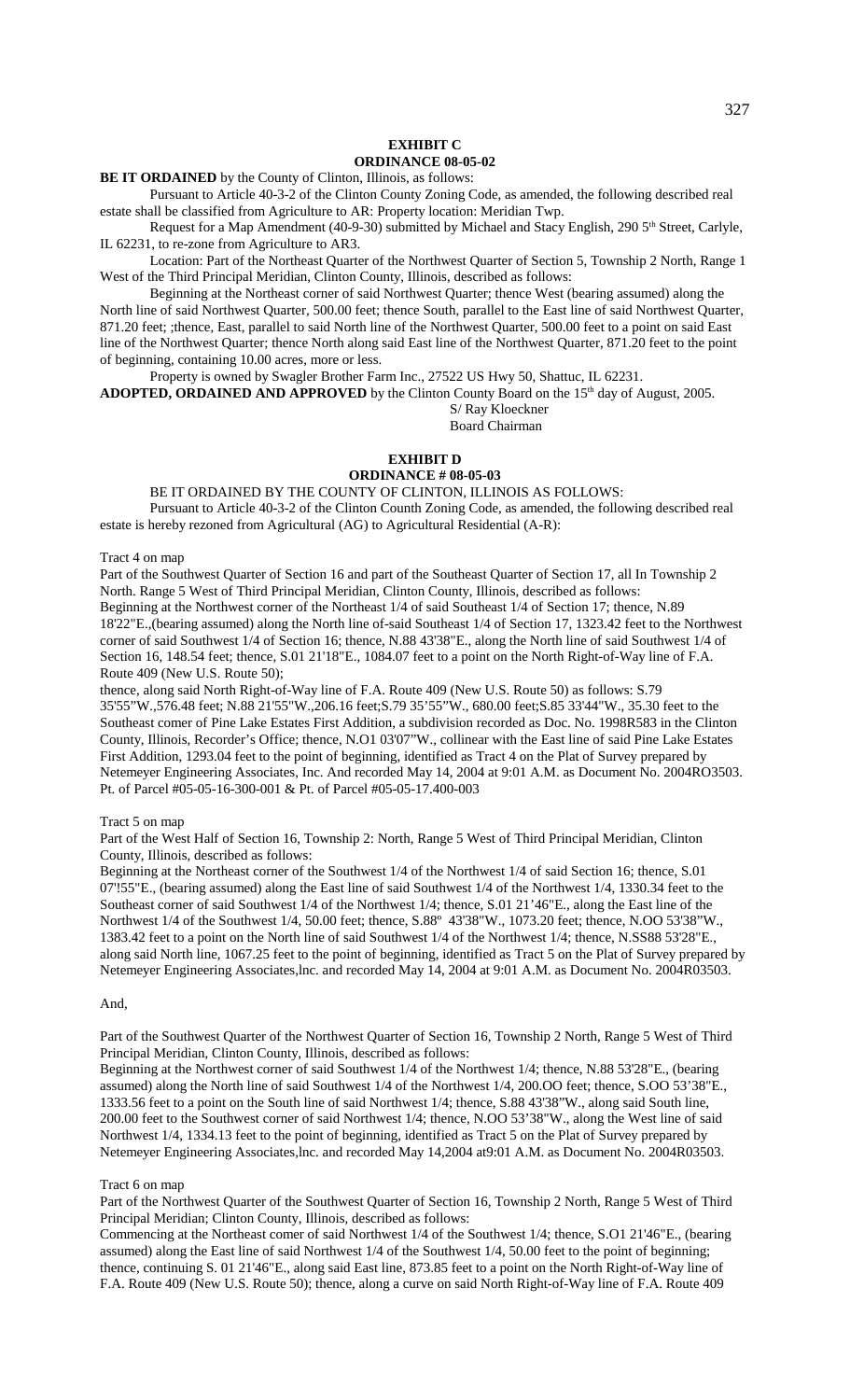#### **EXHIBIT C ORDINANCE 08-05-02**

**BE IT ORDAINED** by the County of Clinton, Illinois, as follows:

Pursuant to Article 40-3-2 of the Clinton County Zoning Code, as amended, the following described real estate shall be classified from Agriculture to AR: Property location: Meridian Twp.

Request for a Map Amendment (40-9-30) submitted by Michael and Stacy English, 290 5<sup>th</sup> Street, Carlyle, IL 62231, to re-zone from Agriculture to AR3.

Location: Part of the Northeast Quarter of the Northwest Quarter of Section 5, Township 2 North, Range 1 West of the Third Principal Meridian, Clinton County, Illinois, described as follows:

Beginning at the Northeast corner of said Northwest Quarter; thence West (bearing assumed) along the North line of said Northwest Quarter, 500.00 feet; thence South, parallel to the East line of said Northwest Quarter, 871.20 feet; ;thence, East, parallel to said North line of the Northwest Quarter, 500.00 feet to a point on said East line of the Northwest Quarter; thence North along said East line of the Northwest Quarter, 871.20 feet to the point of beginning, containing 10.00 acres, more or less.

Property is owned by Swagler Brother Farm Inc., 27522 US Hwy 50, Shattuc, IL 62231.

ADOPTED, ORDAINED AND APPROVED by the Clinton County Board on the 15<sup>th</sup> day of August, 2005. S/ Ray Kloeckner

Board Chairman

### **EXHIBIT D**

### **ORDINANCE # 08-05-03**

BE IT ORDAINED BY THE COUNTY OF CLINTON, ILLINOIS AS FOLLOWS: Pursuant to Article 40-3-2 of the Clinton Counth Zoning Code, as amended, the following described real estate is hereby rezoned from Agricultural (AG) to Agricultural Residential (A-R):

Tract 4 on map

Part of the Southwest Quarter of Section 16 and part of the Southeast Quarter of Section 17, all In Township 2 North. Range 5 West of Third Principal Meridian, Clinton County, Illinois, described as follows: Beginning at the Northwest corner of the Northeast 1/4 of said Southeast 1/4 of Section 17; thence, N.89 18'22"E.,(bearing assumed) along the North line of-said Southeast 1/4 of Section 17, 1323.42 feet to the Northwest corner of said Southwest 1/4 of Section 16; thence, N.88 43'38"E., along the North line of said Southwest 1/4 of Section 16, 148.54 feet; thence, S.01 21'18"E., 1084.07 feet to a point on the North Right-of-Way line of F.A. Route 409 (New U.S. Route 50);

thence, along said North Right-of-Way line of F.A. Route 409 (New U.S. Route 50) as follows: S.79 35'55"W.,576.48 feet; N.88 21'55"W.,206.16 feet;S.79 35'55"W., 680.00 feet;S.85 33'44"W., 35.30 feet to the Southeast comer of Pine Lake Estates First Addition, a subdivision recorded as Doc. No. 1998R583 in the Clinton County, Illinois, Recorder's Office; thence, N.O1 03'07"W., collinear with the East line of said Pine Lake Estates First Addition, 1293.04 feet to the point of beginning, identified as Tract 4 on the Plat of Survey prepared by Netemeyer Engineering Associates, Inc. And recorded May 14, 2004 at 9:01 A.M. as Document No. 2004RO3503. Pt. of Parcel #05-05-16-300-001 & Pt. of Parcel #05-05-17.400-003

#### Tract 5 on map

Part of the West Half of Section 16, Township 2: North, Range 5 West of Third Principal Meridian, Clinton County, Illinois, described as follows:

Beginning at the Northeast corner of the Southwest 1/4 of the Northwest 1/4 of said Section 16; thence, S.01 07'!55"E., (bearing assumed) along the East line of said Southwest 1/4 of the Northwest 1/4, 1330.34 feet to the Southeast corner of said Southwest 1/4 of the Northwest 1/4; thence, S.01 21'46"E., along the East line of the Northwest 1/4 of the Southwest 1/4, 50.00 feet; thence, S.88º 43'38"W., 1073.20 feet; thence, N.OO 53'38"W., 1383.42 feet to a point on the North line of said Southwest 1/4 of the Northwest 1/4; thence, N.SS88 53'28"E., along said North line, 1067.25 feet to the point of beginning, identified as Tract 5 on the Plat of Survey prepared by Netemeyer Engineering Associates,lnc. and recorded May 14, 2004 at 9:01 A.M. as Document No. 2004R03503.

#### And,

Part of the Southwest Quarter of the Northwest Quarter of Section 16, Township 2 North, Range 5 West of Third Principal Meridian, Clinton County, Illinois, described as follows:

Beginning at the Northwest corner of said Southwest 1/4 of the Northwest 1/4; thence, N.88 53'28"E., (bearing assumed) along the North line of said Southwest 1/4 of the Northwest 1/4, 200.OO feet; thence, S.OO 53'38"E., 1333.56 feet to a point on the South line of said Northwest 1/4; thence, S.88 43'38"W., along said South line, 200.00 feet to the Southwest corner of said Northwest 1/4; thence, N.OO 53'38"W., along the West line of said Northwest 1/4, 1334.13 feet to the point of beginning, identified as Tract 5 on the Plat of Survey prepared by Netemeyer Engineering Associates,lnc. and recorded May 14,2004 at9:01 A.M. as Document No. 2004R03503.

#### Tract 6 on map

Part of the Northwest Quarter of the Southwest Quarter of Section 16, Township 2 North, Range 5 West of Third Principal Meridian; Clinton County, Illinois, described as follows:

Commencing at the Northeast comer of said Northwest 1/4 of the Southwest 1/4; thence, S.O1 21'46"E., (bearing assumed) along the East line of said Northwest 1/4 of the Southwest 1/4, 50.00 feet to the point of beginning; thence, continuing S. 01 21'46"E., along said East line, 873.85 feet to a point on the North Right-of-Way line of F.A. Route 409 (New U.S. Route 50); thence, along a curve on said North Right-of-Way line of F.A. Route 409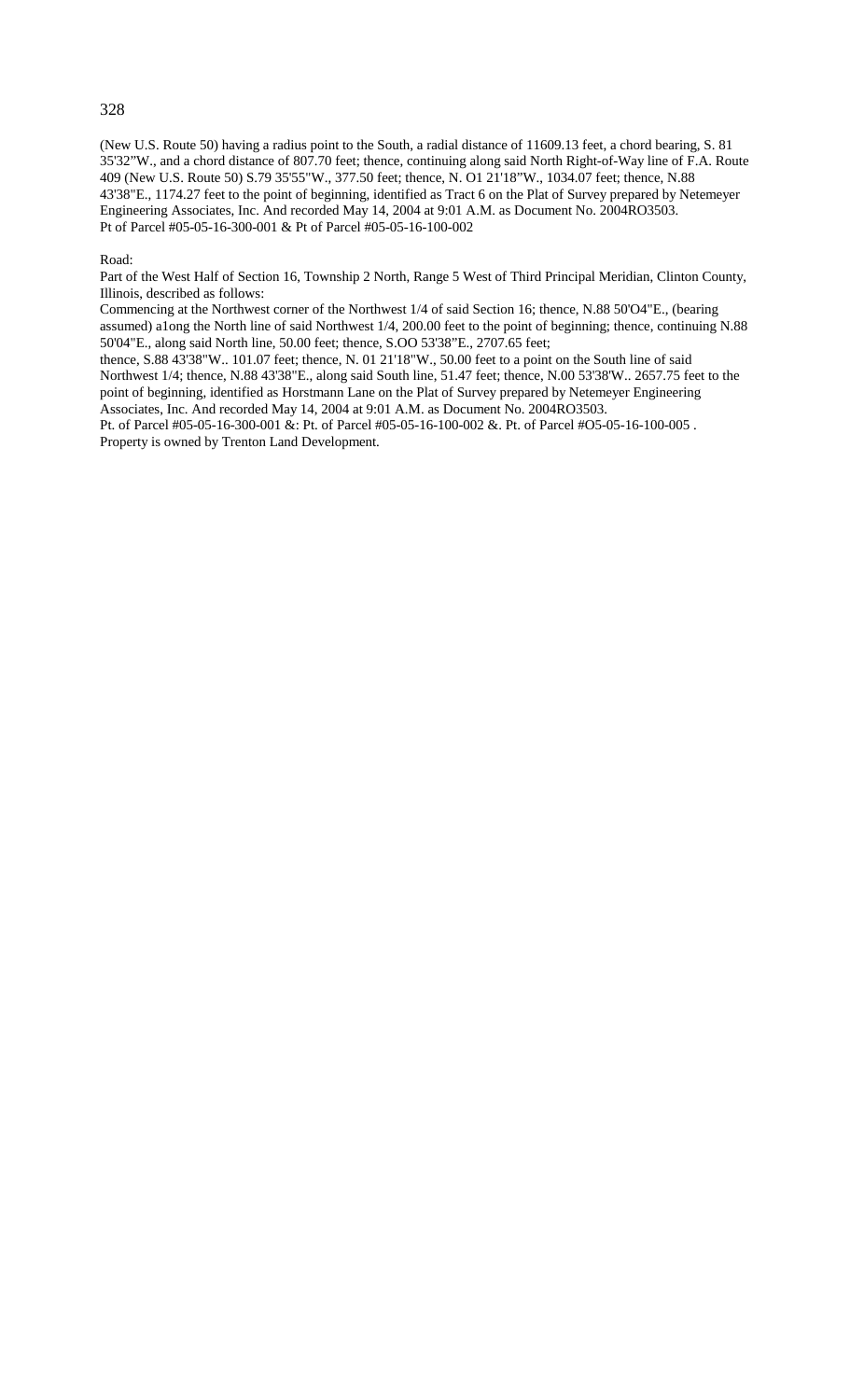### 328

(New U.S. Route 50) having a radius point to the South, a radial distance of 11609.13 feet, a chord bearing, S. 81 35'32"W., and a chord distance of 807.70 feet; thence, continuing along said North Right-of-Way line of F.A. Route 409 (New U.S. Route 50) S.79 35'55"W., 377.50 feet; thence, N. O1 21'18"W., 1034.07 feet; thence, N.88 43'38"E., 1174.27 feet to the point of beginning, identified as Tract 6 on the Plat of Survey prepared by Netemeyer Engineering Associates, Inc. And recorded May 14, 2004 at 9:01 A.M. as Document No. 2004RO3503. Pt of Parcel #05-05-16-300-001 & Pt of Parcel #05-05-16-100-002

#### Road:

Part of the West Half of Section 16, Township 2 North, Range 5 West of Third Principal Meridian, Clinton County, Illinois, described as follows:

Commencing at the Northwest corner of the Northwest 1/4 of said Section 16; thence, N.88 50'O4"E., (bearing assumed) a1ong the North line of said Northwest 1/4, 200.00 feet to the point of beginning; thence, continuing N.88 50'04"E., along said North line, 50.00 feet; thence, S.OO 53'38"E., 2707.65 feet;

thence, S.88 43'38"W.. 101.07 feet; thence, N. 01 21'18"W., 50.00 feet to a point on the South line of said Northwest 1/4; thence, N.88 43'38"E., along said South line, 51.47 feet; thence, N.00 53'38'W.. 2657.75 feet to the point of beginning, identified as Horstmann Lane on the Plat of Survey prepared by Netemeyer Engineering Associates, Inc. And recorded May 14, 2004 at 9:01 A.M. as Document No. 2004RO3503.

Pt. of Parcel #05-05-16-300-001 &: Pt. of Parcel #05-05-16-100-002 &. Pt. of Parcel #O5-05-16-100-005 . Property is owned by Trenton Land Development.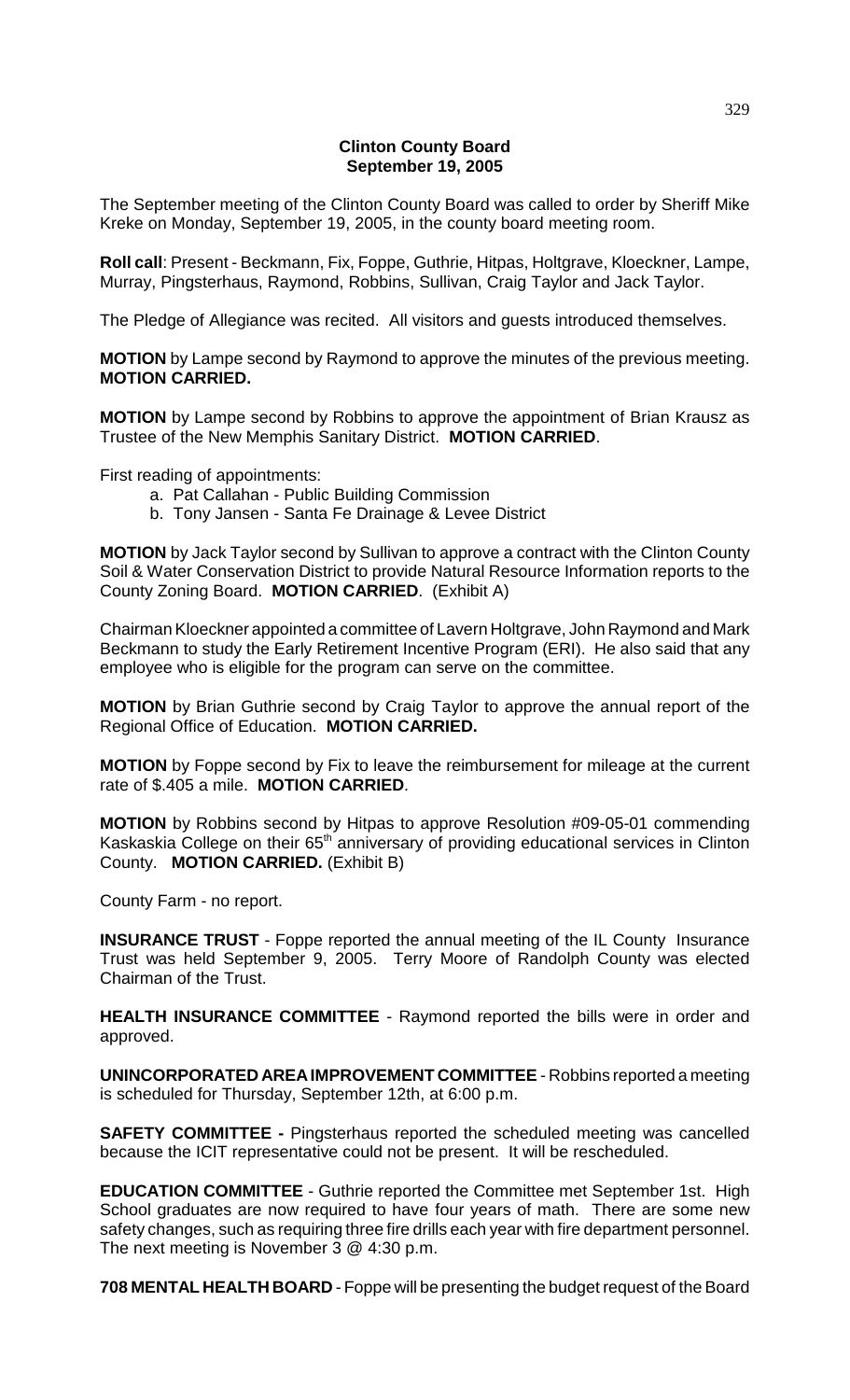## **Clinton County Board September 19, 2005**

The September meeting of the Clinton County Board was called to order by Sheriff Mike Kreke on Monday, September 19, 2005, in the county board meeting room.

**Roll call**: Present - Beckmann, Fix, Foppe, Guthrie, Hitpas, Holtgrave, Kloeckner, Lampe, Murray, Pingsterhaus, Raymond, Robbins, Sullivan, Craig Taylor and Jack Taylor.

The Pledge of Allegiance was recited. All visitors and guests introduced themselves.

**MOTION** by Lampe second by Raymond to approve the minutes of the previous meeting. **MOTION CARRIED.**

**MOTION** by Lampe second by Robbins to approve the appointment of Brian Krausz as Trustee of the New Memphis Sanitary District. **MOTION CARRIED**.

First reading of appointments:

- a. Pat Callahan Public Building Commission
- b. Tony Jansen Santa Fe Drainage & Levee District

**MOTION** by Jack Taylor second by Sullivan to approve a contract with the Clinton County Soil & Water Conservation District to provide Natural Resource Information reports to the County Zoning Board. **MOTION CARRIED**. (Exhibit A)

Chairman Kloeckner appointed a committee of Lavern Holtgrave, John Raymond and Mark Beckmann to study the Early Retirement Incentive Program (ERI). He also said that any employee who is eligible for the program can serve on the committee.

**MOTION** by Brian Guthrie second by Craig Taylor to approve the annual report of the Regional Office of Education. **MOTION CARRIED.**

**MOTION** by Foppe second by Fix to leave the reimbursement for mileage at the current rate of \$.405 a mile. **MOTION CARRIED**.

**MOTION** by Robbins second by Hitpas to approve Resolution #09-05-01 commending Kaskaskia College on their 65<sup>th</sup> anniversary of providing educational services in Clinton County. **MOTION CARRIED.** (Exhibit B)

County Farm - no report.

**INSURANCE TRUST** - Foppe reported the annual meeting of the IL County Insurance Trust was held September 9, 2005. Terry Moore of Randolph County was elected Chairman of the Trust.

**HEALTH INSURANCE COMMITTEE** - Raymond reported the bills were in order and approved.

**UNINCORPORATED AREA IMPROVEMENT COMMITTEE** - Robbins reported a meeting is scheduled for Thursday, September 12th, at 6:00 p.m.

**SAFETY COMMITTEE -** Pingsterhaus reported the scheduled meeting was cancelled because the ICIT representative could not be present. It will be rescheduled.

**EDUCATION COMMITTEE** - Guthrie reported the Committee met September 1st. High School graduates are now required to have four years of math. There are some new safety changes, such as requiring three fire drills each year with fire department personnel. The next meeting is November 3 @ 4:30 p.m.

**708 MENTAL HEALTH BOARD** - Foppe will be presenting the budget request of the Board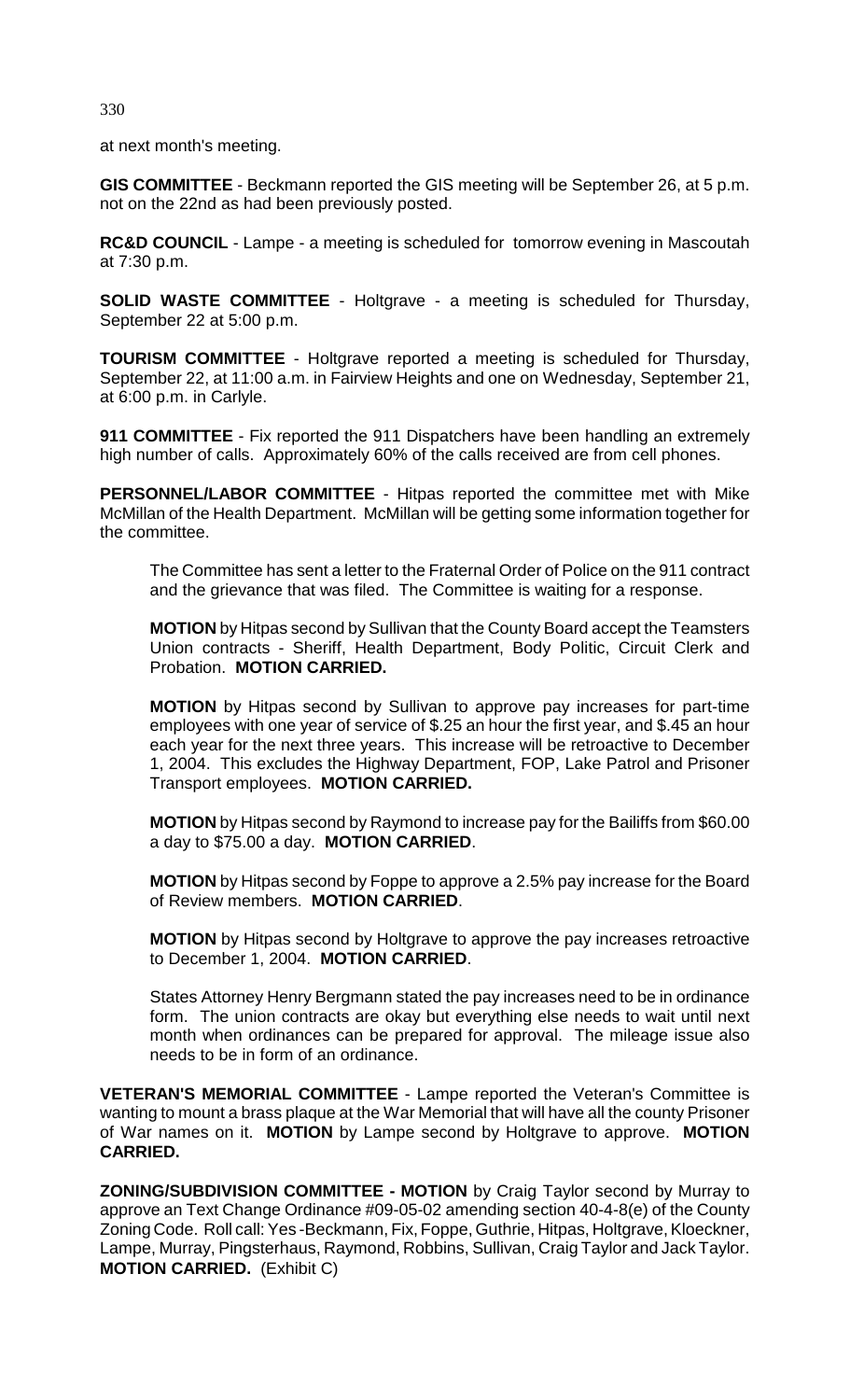330

at next month's meeting.

**GIS COMMITTEE** - Beckmann reported the GIS meeting will be September 26, at 5 p.m. not on the 22nd as had been previously posted.

**RC&D COUNCIL** - Lampe - a meeting is scheduled for tomorrow evening in Mascoutah at 7:30 p.m.

**SOLID WASTE COMMITTEE** - Holtgrave - a meeting is scheduled for Thursday, September 22 at 5:00 p.m.

**TOURISM COMMITTEE** - Holtgrave reported a meeting is scheduled for Thursday, September 22, at 11:00 a.m. in Fairview Heights and one on Wednesday, September 21, at 6:00 p.m. in Carlyle.

**911 COMMITTEE** - Fix reported the 911 Dispatchers have been handling an extremely high number of calls. Approximately 60% of the calls received are from cell phones.

**PERSONNEL/LABOR COMMITTEE** - Hitpas reported the committee met with Mike McMillan of the Health Department. McMillan will be getting some information together for the committee.

The Committee has sent a letter to the Fraternal Order of Police on the 911 contract and the grievance that was filed. The Committee is waiting for a response.

**MOTION** by Hitpas second by Sullivan that the County Board accept the Teamsters Union contracts - Sheriff, Health Department, Body Politic, Circuit Clerk and Probation. **MOTION CARRIED.** 

**MOTION** by Hitpas second by Sullivan to approve pay increases for part-time employees with one year of service of \$.25 an hour the first year, and \$.45 an hour each year for the next three years. This increase will be retroactive to December 1, 2004. This excludes the Highway Department, FOP, Lake Patrol and Prisoner Transport employees. **MOTION CARRIED.**

**MOTION** by Hitpas second by Raymond to increase pay for the Bailiffs from \$60.00 a day to \$75.00 a day. **MOTION CARRIED**.

**MOTION** by Hitpas second by Foppe to approve a 2.5% pay increase for the Board of Review members. **MOTION CARRIED**.

**MOTION** by Hitpas second by Holtgrave to approve the pay increases retroactive to December 1, 2004. **MOTION CARRIED**.

States Attorney Henry Bergmann stated the pay increases need to be in ordinance form. The union contracts are okay but everything else needs to wait until next month when ordinances can be prepared for approval. The mileage issue also needs to be in form of an ordinance.

**VETERAN'S MEMORIAL COMMITTEE** - Lampe reported the Veteran's Committee is wanting to mount a brass plaque at the War Memorial that will have all the county Prisoner of War names on it. **MOTION** by Lampe second by Holtgrave to approve. **MOTION CARRIED.**

**ZONING/SUBDIVISION COMMITTEE - MOTION** by Craig Taylor second by Murray to approve an Text Change Ordinance #09-05-02 amending section 40-4-8(e) of the County Zoning Code. Roll call: Yes -Beckmann, Fix, Foppe, Guthrie, Hitpas, Holtgrave, Kloeckner, Lampe, Murray, Pingsterhaus, Raymond, Robbins, Sullivan, Craig Taylor and Jack Taylor. **MOTION CARRIED.** (Exhibit C)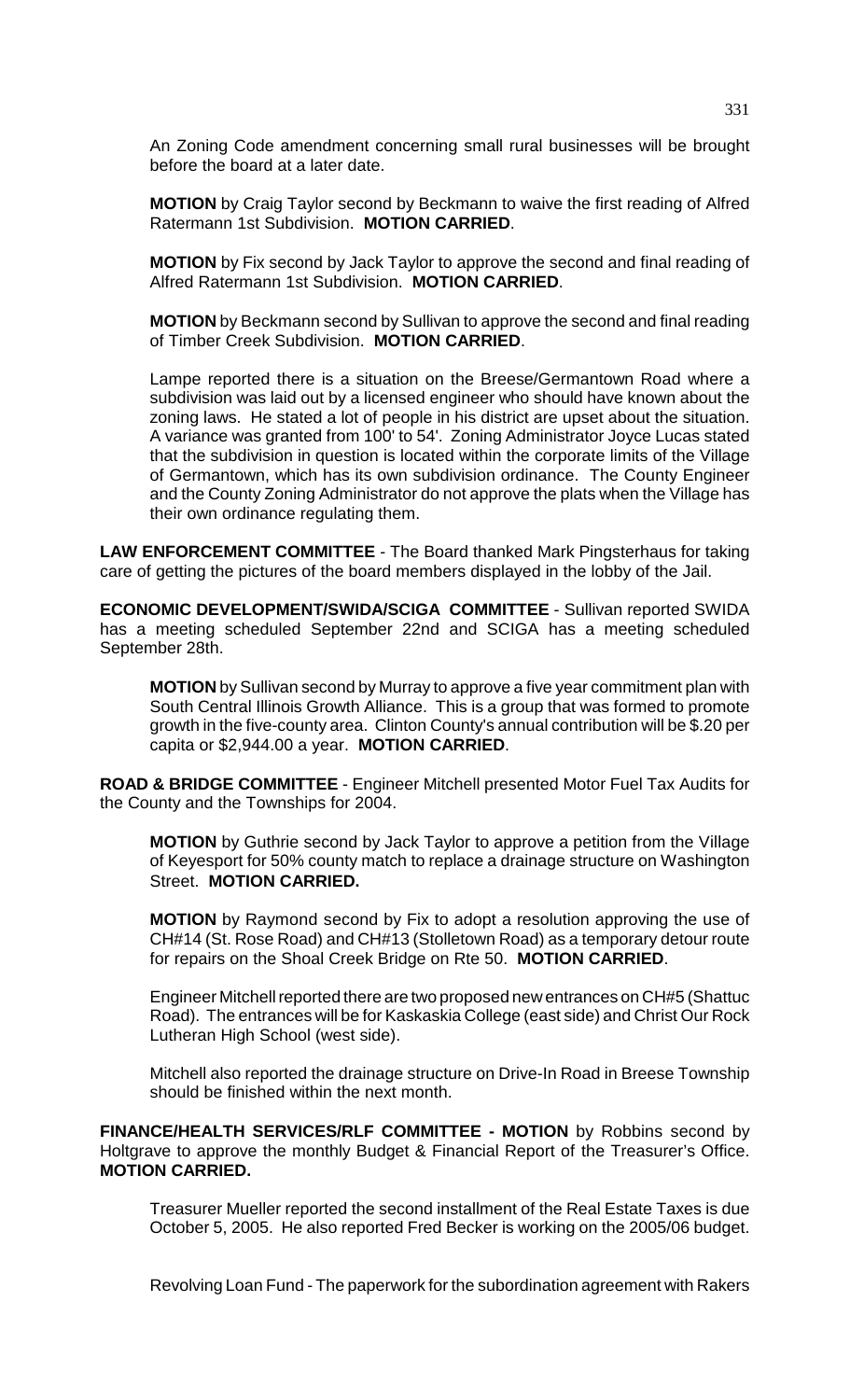An Zoning Code amendment concerning small rural businesses will be brought before the board at a later date.

**MOTION** by Craig Taylor second by Beckmann to waive the first reading of Alfred Ratermann 1st Subdivision. **MOTION CARRIED**.

**MOTION** by Fix second by Jack Taylor to approve the second and final reading of Alfred Ratermann 1st Subdivision. **MOTION CARRIED**.

**MOTION** by Beckmann second by Sullivan to approve the second and final reading of Timber Creek Subdivision. **MOTION CARRIED**.

Lampe reported there is a situation on the Breese/Germantown Road where a subdivision was laid out by a licensed engineer who should have known about the zoning laws. He stated a lot of people in his district are upset about the situation. A variance was granted from 100' to 54'. Zoning Administrator Joyce Lucas stated that the subdivision in question is located within the corporate limits of the Village of Germantown, which has its own subdivision ordinance. The County Engineer and the County Zoning Administrator do not approve the plats when the Village has their own ordinance regulating them.

**LAW ENFORCEMENT COMMITTEE** - The Board thanked Mark Pingsterhaus for taking care of getting the pictures of the board members displayed in the lobby of the Jail.

**ECONOMIC DEVELOPMENT/SWIDA/SCIGA COMMITTEE** - Sullivan reported SWIDA has a meeting scheduled September 22nd and SCIGA has a meeting scheduled September 28th.

**MOTION** by Sullivan second by Murray to approve a five year commitment plan with South Central Illinois Growth Alliance. This is a group that was formed to promote growth in the five-county area. Clinton County's annual contribution will be \$.20 per capita or \$2,944.00 a year. **MOTION CARRIED**.

**ROAD & BRIDGE COMMITTEE** - Engineer Mitchell presented Motor Fuel Tax Audits for the County and the Townships for 2004.

**MOTION** by Guthrie second by Jack Taylor to approve a petition from the Village of Keyesport for 50% county match to replace a drainage structure on Washington Street. **MOTION CARRIED.**

**MOTION** by Raymond second by Fix to adopt a resolution approving the use of CH#14 (St. Rose Road) and CH#13 (Stolletown Road) as a temporary detour route for repairs on the Shoal Creek Bridge on Rte 50. **MOTION CARRIED**.

Engineer Mitchell reported there are two proposed new entrances on CH#5 (Shattuc Road). The entrances will be for Kaskaskia College (east side) and Christ Our Rock Lutheran High School (west side).

Mitchell also reported the drainage structure on Drive-In Road in Breese Township should be finished within the next month.

**FINANCE/HEALTH SERVICES/RLF COMMITTEE - MOTION** by Robbins second by Holtgrave to approve the monthly Budget & Financial Report of the Treasurer's Office. **MOTION CARRIED.**

Treasurer Mueller reported the second installment of the Real Estate Taxes is due October 5, 2005. He also reported Fred Becker is working on the 2005/06 budget.

Revolving Loan Fund - The paperwork for the subordination agreement with Rakers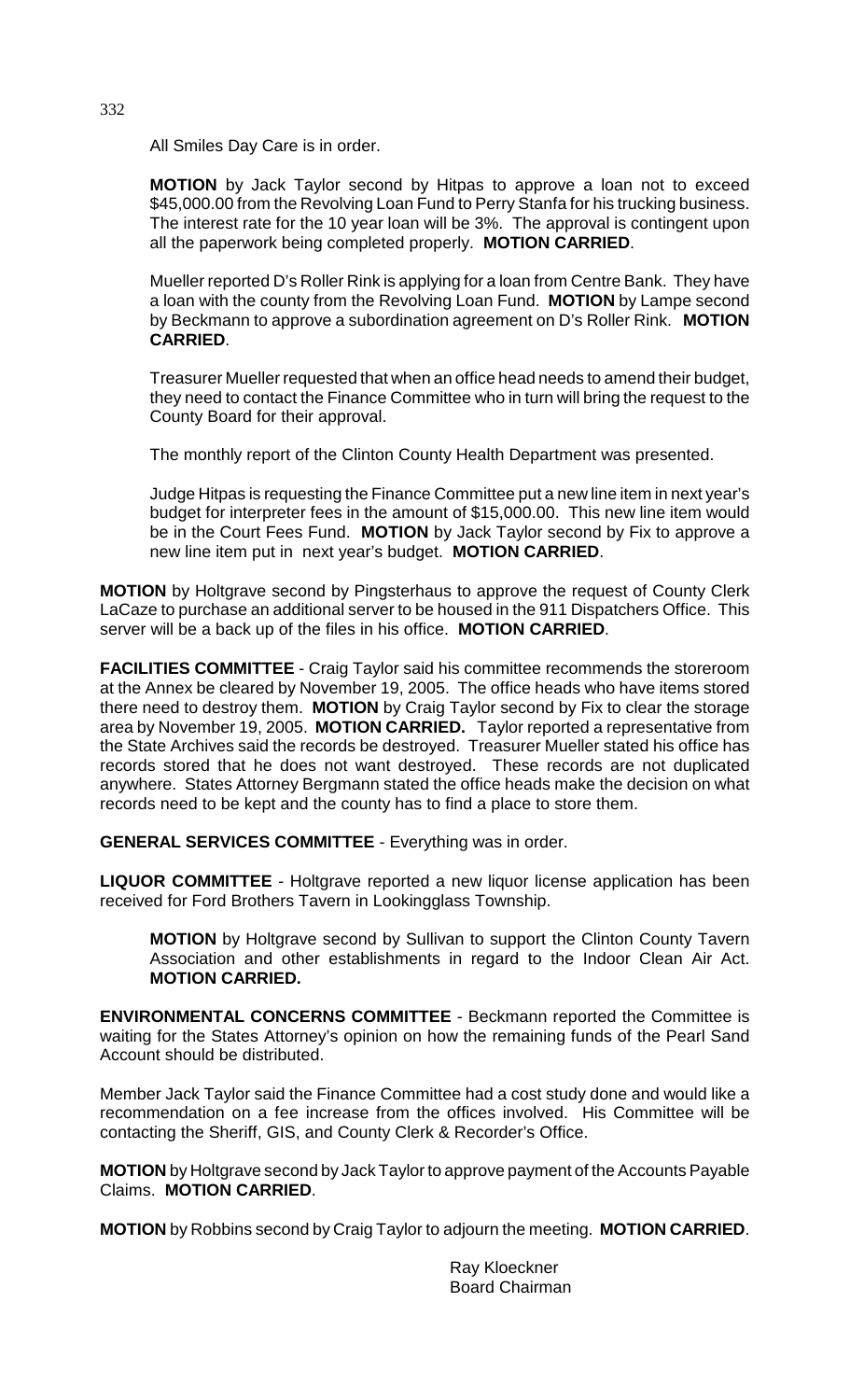All Smiles Day Care is in order.

**MOTION** by Jack Taylor second by Hitpas to approve a loan not to exceed \$45,000.00 from the Revolving Loan Fund to Perry Stanfa for his trucking business. The interest rate for the 10 year loan will be 3%. The approval is contingent upon all the paperwork being completed properly. **MOTION CARRIED**.

Mueller reported D's Roller Rink is applying for a loan from Centre Bank. They have a loan with the county from the Revolving Loan Fund. **MOTION** by Lampe second by Beckmann to approve a subordination agreement on D's Roller Rink. **MOTION CARRIED**.

Treasurer Mueller requested that when an office head needs to amend their budget, they need to contact the Finance Committee who in turn will bring the request to the County Board for their approval.

The monthly report of the Clinton County Health Department was presented.

Judge Hitpas is requesting the Finance Committee put a new line item in next year's budget for interpreter fees in the amount of \$15,000.00. This new line item would be in the Court Fees Fund. **MOTION** by Jack Taylor second by Fix to approve a new line item put in next year's budget. **MOTION CARRIED**.

**MOTION** by Holtgrave second by Pingsterhaus to approve the request of County Clerk LaCaze to purchase an additional server to be housed in the 911 Dispatchers Office. This server will be a back up of the files in his office. **MOTION CARRIED**.

**FACILITIES COMMITTEE** - Craig Taylor said his committee recommends the storeroom at the Annex be cleared by November 19, 2005. The office heads who have items stored there need to destroy them. **MOTION** by Craig Taylor second by Fix to clear the storage area by November 19, 2005. **MOTION CARRIED.** Taylor reported a representative from the State Archives said the records be destroyed. Treasurer Mueller stated his office has records stored that he does not want destroyed. These records are not duplicated anywhere. States Attorney Bergmann stated the office heads make the decision on what records need to be kept and the county has to find a place to store them.

**GENERAL SERVICES COMMITTEE** - Everything was in order.

**LIQUOR COMMITTEE** - Holtgrave reported a new liquor license application has been received for Ford Brothers Tavern in Lookingglass Township.

**MOTION** by Holtgrave second by Sullivan to support the Clinton County Tavern Association and other establishments in regard to the Indoor Clean Air Act. **MOTION CARRIED.**

**ENVIRONMENTAL CONCERNS COMMITTEE** - Beckmann reported the Committee is waiting for the States Attorney's opinion on how the remaining funds of the Pearl Sand Account should be distributed.

Member Jack Taylor said the Finance Committee had a cost study done and would like a recommendation on a fee increase from the offices involved. His Committee will be contacting the Sheriff, GIS, and County Clerk & Recorder's Office.

**MOTION** by Holtgrave second by Jack Taylor to approve payment of the Accounts Payable Claims. **MOTION CARRIED**.

**MOTION** by Robbins second by Craig Taylor to adjourn the meeting. **MOTION CARRIED**.

Ray Kloeckner Board Chairman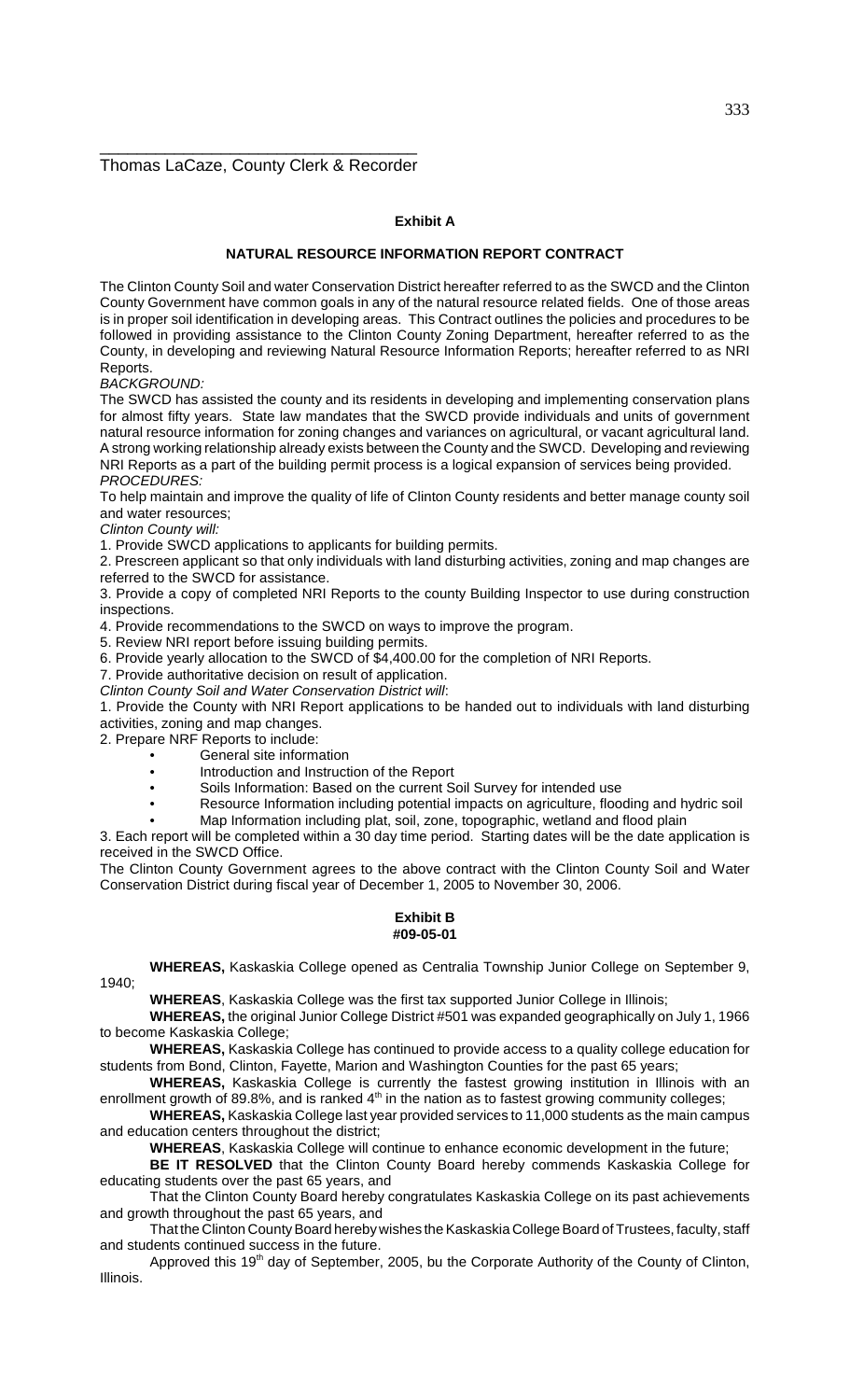## \_\_\_\_\_\_\_\_\_\_\_\_\_\_\_\_\_\_\_\_\_\_\_\_\_\_\_\_\_\_\_\_\_\_ Thomas LaCaze, County Clerk & Recorder

## **Exhibit A**

### **NATURAL RESOURCE INFORMATION REPORT CONTRACT**

The Clinton County Soil and water Conservation District hereafter referred to as the SWCD and the Clinton County Government have common goals in any of the natural resource related fields. One of those areas is in proper soil identification in developing areas. This Contract outlines the policies and procedures to be followed in providing assistance to the Clinton County Zoning Department, hereafter referred to as the County, in developing and reviewing Natural Resource Information Reports; hereafter referred to as NRI Reports.

BACKGROUND:

The SWCD has assisted the county and its residents in developing and implementing conservation plans for almost fifty years. State law mandates that the SWCD provide individuals and units of government natural resource information for zoning changes and variances on agricultural, or vacant agricultural land. A strong working relationship already exists between the County and the SWCD. Developing and reviewing NRI Reports as a part of the building permit process is a logical expansion of services being provided. PROCEDURES:

To help maintain and improve the quality of life of Clinton County residents and better manage county soil and water resources;

Clinton County will:

1. Provide SWCD applications to applicants for building permits.

2. Prescreen applicant so that only individuals with land disturbing activities, zoning and map changes are referred to the SWCD for assistance.

3. Provide a copy of completed NRI Reports to the county Building Inspector to use during construction inspections.

4. Provide recommendations to the SWCD on ways to improve the program.

5. Review NRI report before issuing building permits.

6. Provide yearly allocation to the SWCD of \$4,400.00 for the completion of NRI Reports.

7. Provide authoritative decision on result of application.

Clinton County Soil and Water Conservation District will:

1. Provide the County with NRI Report applications to be handed out to individuals with land disturbing activities, zoning and map changes.

2. Prepare NRF Reports to include:

- General site information
- Introduction and Instruction of the Report
- Soils Information: Based on the current Soil Survey for intended use
- Resource Information including potential impacts on agriculture, flooding and hydric soil

• Map Information including plat, soil, zone, topographic, wetland and flood plain

3. Each report will be completed within a 30 day time period. Starting dates will be the date application is received in the SWCD Office.

The Clinton County Government agrees to the above contract with the Clinton County Soil and Water Conservation District during fiscal year of December 1, 2005 to November 30, 2006.

#### **Exhibit B #09-05-01**

**WHEREAS,** Kaskaskia College opened as Centralia Township Junior College on September 9, 1940;

**WHEREAS**, Kaskaskia College was the first tax supported Junior College in Illinois;

**WHEREAS,** the original Junior College District #501 was expanded geographically on July 1, 1966 to become Kaskaskia College;

**WHEREAS,** Kaskaskia College has continued to provide access to a quality college education for students from Bond, Clinton, Fayette, Marion and Washington Counties for the past 65 years;

**WHEREAS,** Kaskaskia College is currently the fastest growing institution in Illinois with an enrollment growth of 89.8%, and is ranked  $4<sup>th</sup>$  in the nation as to fastest growing community colleges;

**WHEREAS,** Kaskaskia College last year provided services to 11,000 students as the main campus and education centers throughout the district;

**WHEREAS**, Kaskaskia College will continue to enhance economic development in the future;

**BE IT RESOLVED** that the Clinton County Board hereby commends Kaskaskia College for educating students over the past 65 years, and

That the Clinton County Board hereby congratulates Kaskaskia College on its past achievements and growth throughout the past 65 years, and

That the Clinton County Board hereby wishes the Kaskaskia College Board of Trustees, faculty, staff and students continued success in the future.

Approved this 19<sup>th</sup> day of September, 2005, bu the Corporate Authority of the County of Clinton, Illinois.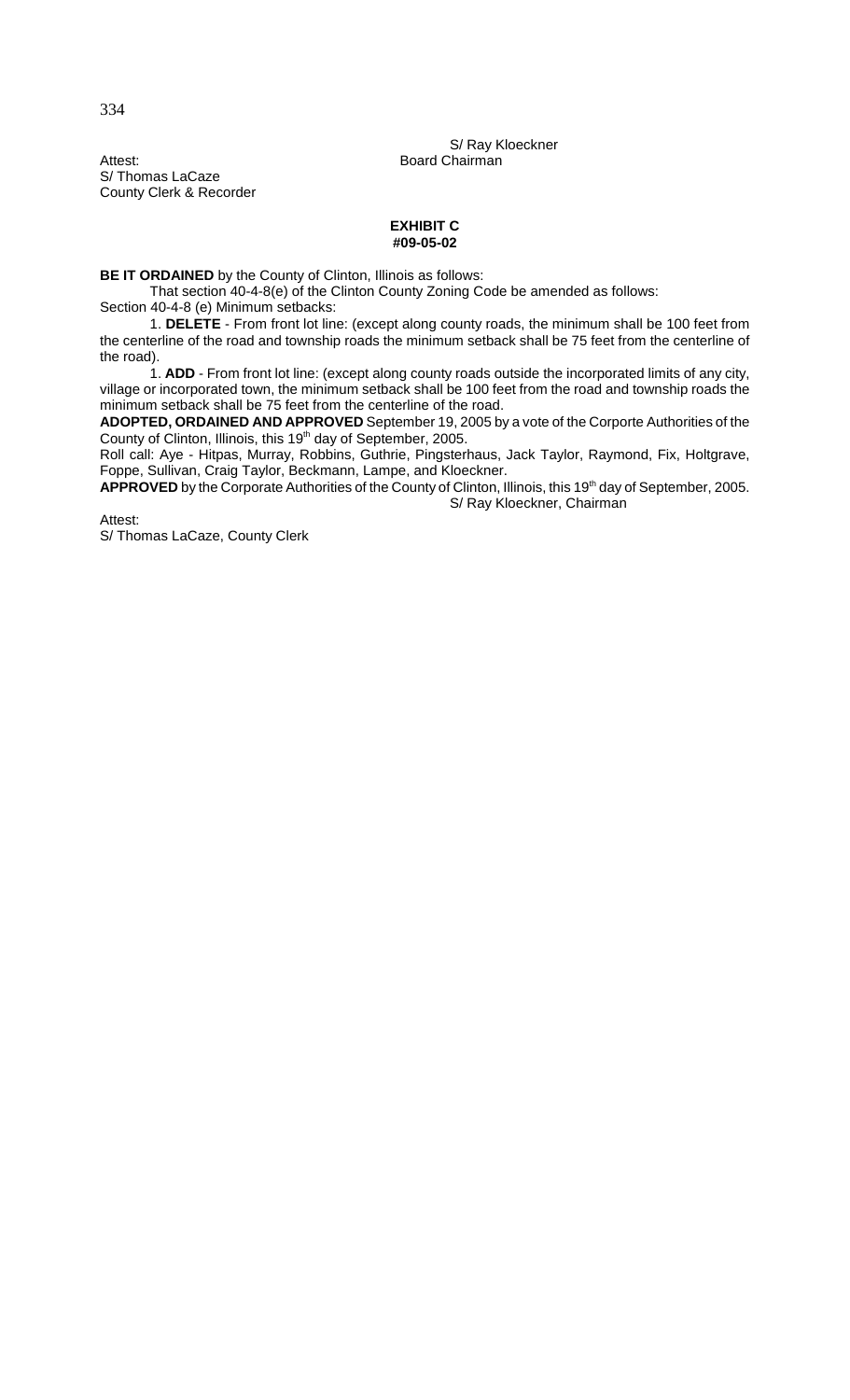S/ Ray Kloeckner

Attest: Board Chairman S/ Thomas LaCaze County Clerk & Recorder

## **EXHIBIT C #09-05-02**

**BE IT ORDAINED** by the County of Clinton, Illinois as follows:

That section 40-4-8(e) of the Clinton County Zoning Code be amended as follows: Section 40-4-8 (e) Minimum setbacks:

1. **DELETE** - From front lot line: (except along county roads, the minimum shall be 100 feet from the centerline of the road and township roads the minimum setback shall be 75 feet from the centerline of the road).

1. **ADD** - From front lot line: (except along county roads outside the incorporated limits of any city, village or incorporated town, the minimum setback shall be 100 feet from the road and township roads the minimum setback shall be 75 feet from the centerline of the road.

**ADOPTED, ORDAINED AND APPROVED** September 19, 2005 by a vote of the Corporte Authorities of the County of Clinton, Illinois, this 19<sup>th</sup> day of September, 2005.

Roll call: Aye - Hitpas, Murray, Robbins, Guthrie, Pingsterhaus, Jack Taylor, Raymond, Fix, Holtgrave, Foppe, Sullivan, Craig Taylor, Beckmann, Lampe, and Kloeckner.

APPROVED by the Corporate Authorities of the County of Clinton, Illinois, this 19<sup>th</sup> day of September, 2005. S/ Ray Kloeckner, Chairman

Attest:

S/ Thomas LaCaze, County Clerk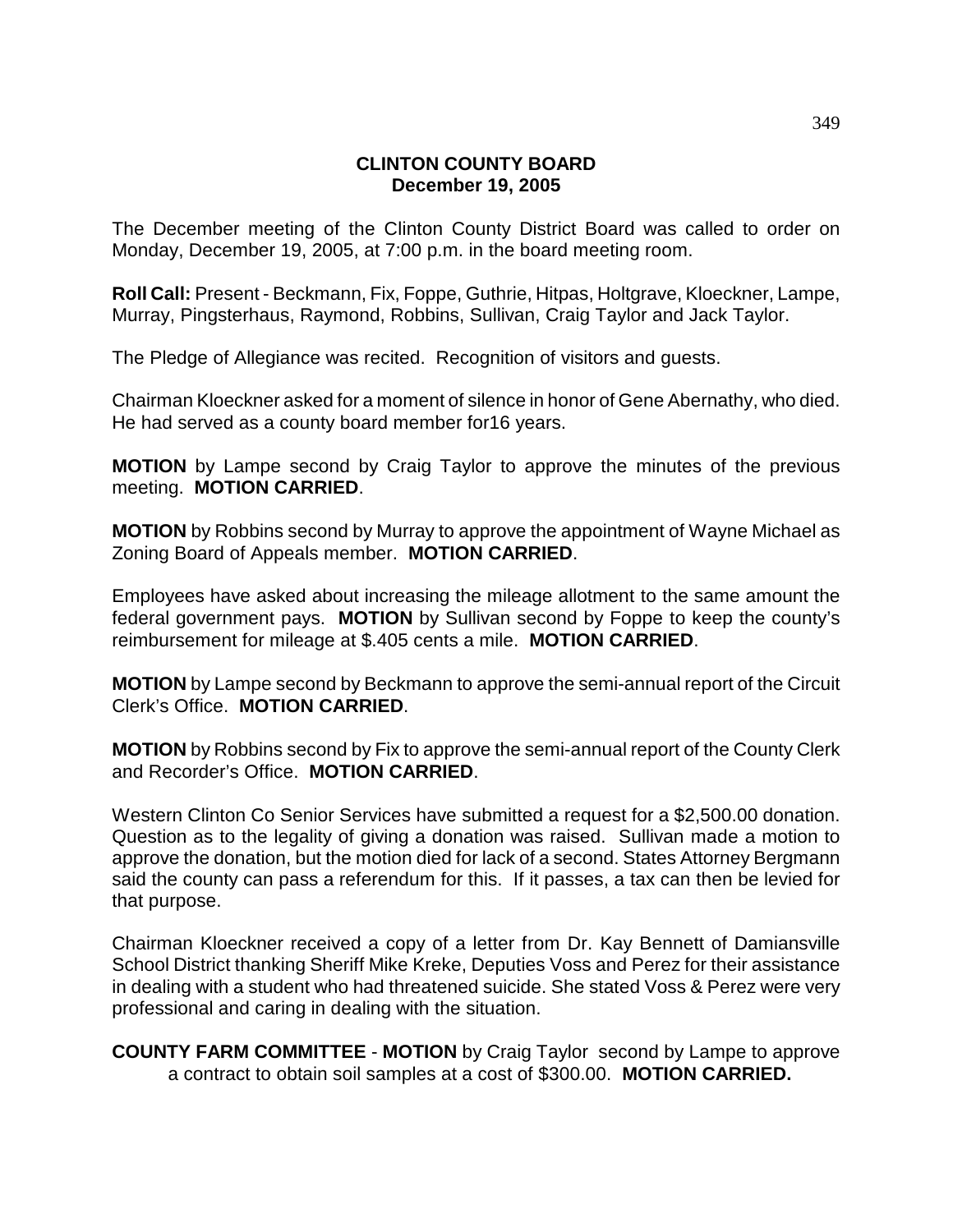## **CLINTON COUNTY BOARD December 19, 2005**

The December meeting of the Clinton County District Board was called to order on Monday, December 19, 2005, at 7:00 p.m. in the board meeting room.

**Roll Call:** Present - Beckmann, Fix, Foppe, Guthrie, Hitpas, Holtgrave, Kloeckner, Lampe, Murray, Pingsterhaus, Raymond, Robbins, Sullivan, Craig Taylor and Jack Taylor.

The Pledge of Allegiance was recited. Recognition of visitors and guests.

Chairman Kloeckner asked for a moment of silence in honor of Gene Abernathy, who died. He had served as a county board member for16 years.

**MOTION** by Lampe second by Craig Taylor to approve the minutes of the previous meeting. **MOTION CARRIED**.

**MOTION** by Robbins second by Murray to approve the appointment of Wayne Michael as Zoning Board of Appeals member. **MOTION CARRIED**.

Employees have asked about increasing the mileage allotment to the same amount the federal government pays. **MOTION** by Sullivan second by Foppe to keep the county's reimbursement for mileage at \$.405 cents a mile. **MOTION CARRIED**.

**MOTION** by Lampe second by Beckmann to approve the semi-annual report of the Circuit Clerk's Office. **MOTION CARRIED**.

**MOTION** by Robbins second by Fix to approve the semi-annual report of the County Clerk and Recorder's Office. **MOTION CARRIED**.

Western Clinton Co Senior Services have submitted a request for a \$2,500.00 donation. Question as to the legality of giving a donation was raised. Sullivan made a motion to approve the donation, but the motion died for lack of a second. States Attorney Bergmann said the county can pass a referendum for this. If it passes, a tax can then be levied for that purpose.

Chairman Kloeckner received a copy of a letter from Dr. Kay Bennett of Damiansville School District thanking Sheriff Mike Kreke, Deputies Voss and Perez for their assistance in dealing with a student who had threatened suicide. She stated Voss & Perez were very professional and caring in dealing with the situation.

**COUNTY FARM COMMITTEE** - **MOTION** by Craig Taylor second by Lampe to approve a contract to obtain soil samples at a cost of \$300.00. **MOTION CARRIED.**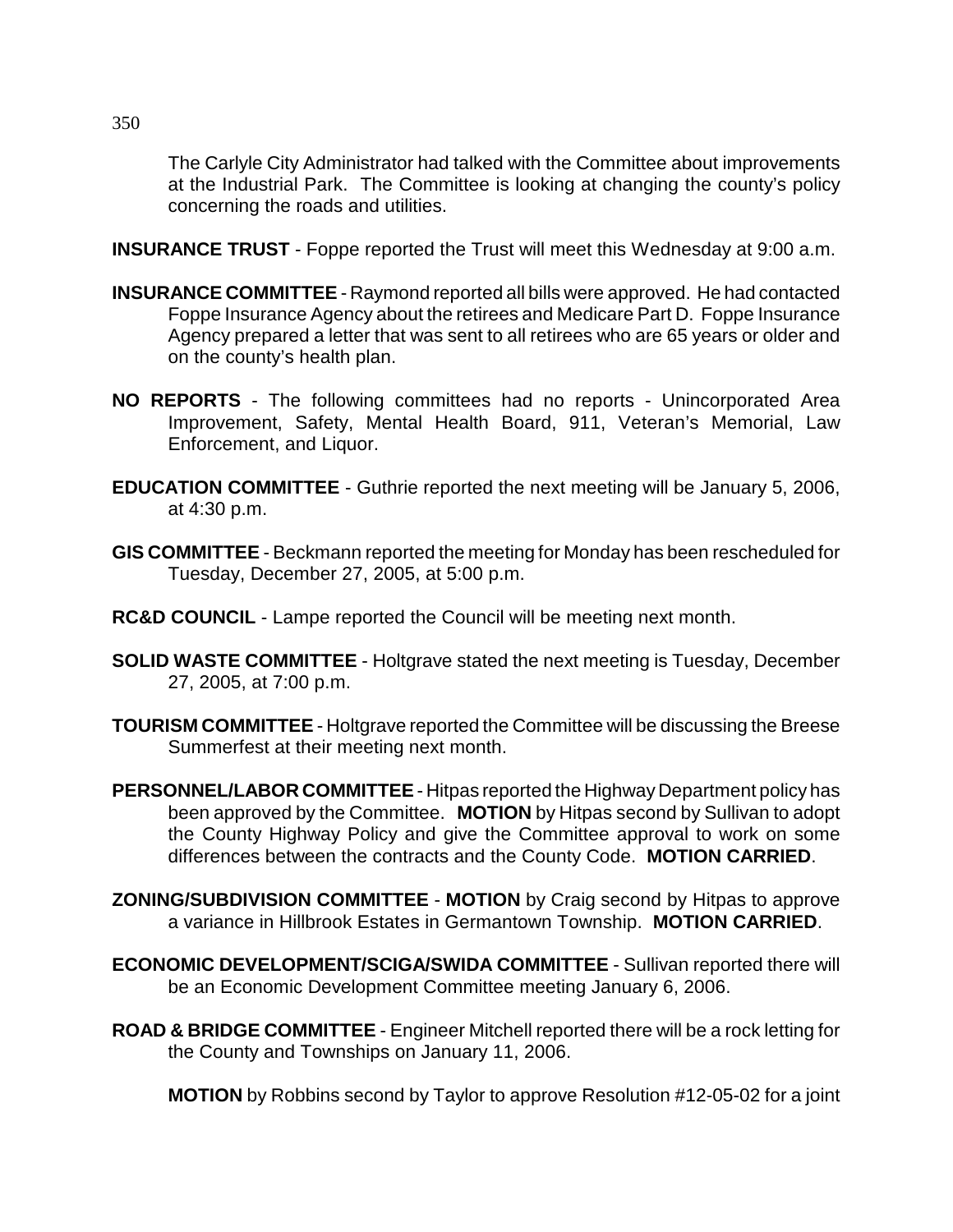The Carlyle City Administrator had talked with the Committee about improvements at the Industrial Park. The Committee is looking at changing the county's policy concerning the roads and utilities.

**INSURANCE TRUST** - Foppe reported the Trust will meet this Wednesday at 9:00 a.m.

- **INSURANCE COMMITTEE**  Raymond reported all bills were approved. He had contacted Foppe Insurance Agency about the retirees and Medicare Part D. Foppe Insurance Agency prepared a letter that was sent to all retirees who are 65 years or older and on the county's health plan.
- **NO REPORTS** The following committees had no reports Unincorporated Area Improvement, Safety, Mental Health Board, 911, Veteran's Memorial, Law Enforcement, and Liquor.
- **EDUCATION COMMITTEE** Guthrie reported the next meeting will be January 5, 2006, at 4:30 p.m.
- **GIS COMMITTEE** Beckmann reported the meeting for Monday has been rescheduled for Tuesday, December 27, 2005, at 5:00 p.m.
- **RC&D COUNCIL** Lampe reported the Council will be meeting next month.
- **SOLID WASTE COMMITTEE** Holtgrave stated the next meeting is Tuesday, December 27, 2005, at 7:00 p.m.
- **TOURISM COMMITTEE** Holtgrave reported the Committee will be discussing the Breese Summerfest at their meeting next month.
- **PERSONNEL/LABOR COMMITTEE**  Hitpas reported the Highway Department policy has been approved by the Committee. **MOTION** by Hitpas second by Sullivan to adopt the County Highway Policy and give the Committee approval to work on some differences between the contracts and the County Code. **MOTION CARRIED**.
- **ZONING/SUBDIVISION COMMITTEE** - **MOTION** by Craig second by Hitpas to approve a variance in Hillbrook Estates in Germantown Township. **MOTION CARRIED**.
- **ECONOMIC DEVELOPMENT/SCIGA/SWIDA COMMITTEE** Sullivan reported there will be an Economic Development Committee meeting January 6, 2006.
- **ROAD & BRIDGE COMMITTEE** Engineer Mitchell reported there will be a rock letting for the County and Townships on January 11, 2006.

**MOTION** by Robbins second by Taylor to approve Resolution #12-05-02 for a joint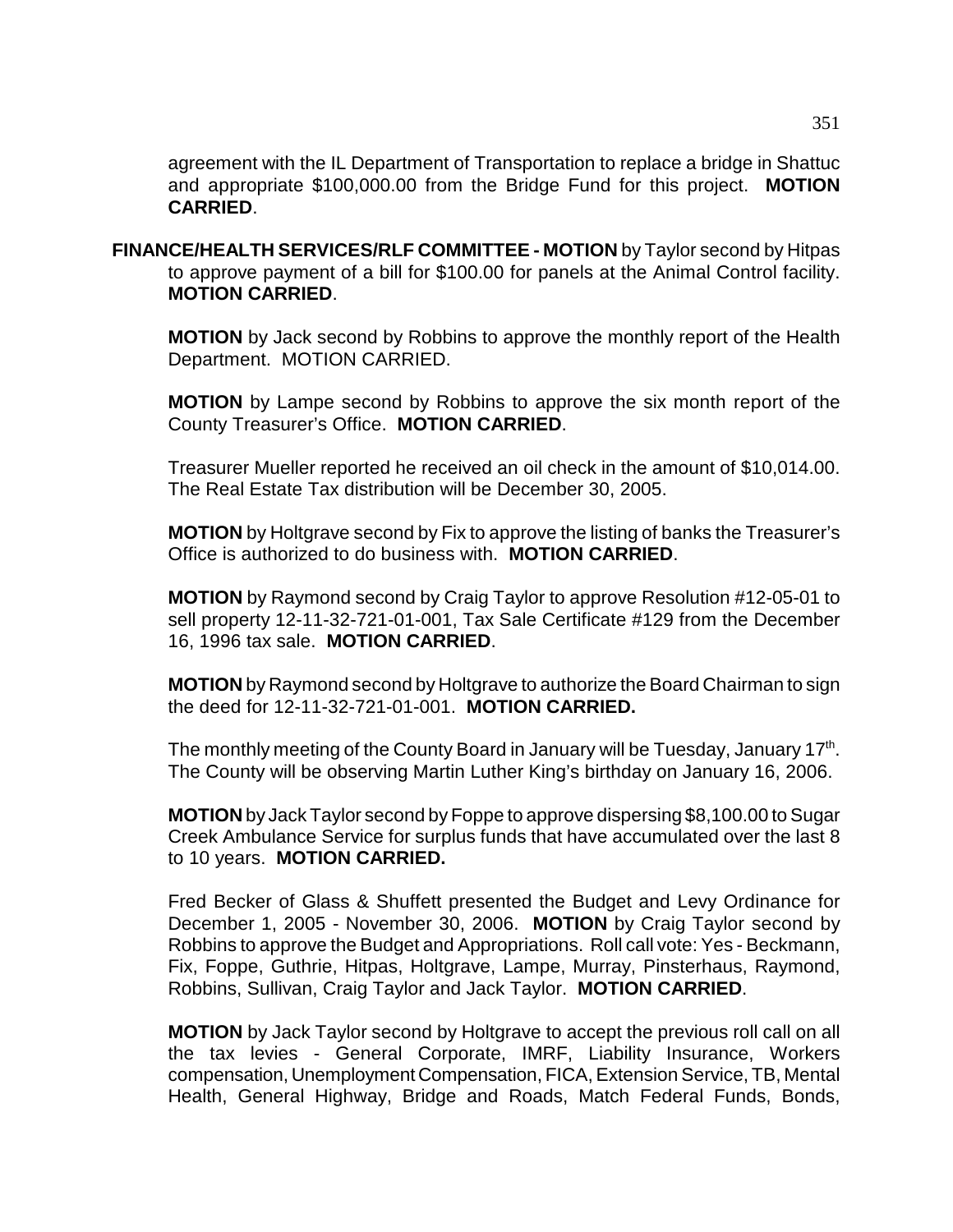agreement with the IL Department of Transportation to replace a bridge in Shattuc and appropriate \$100,000.00 from the Bridge Fund for this project. **MOTION CARRIED**.

**FINANCE/HEALTH SERVICES/RLF COMMITTEE - MOTION** by Taylor second by Hitpas to approve payment of a bill for \$100.00 for panels at the Animal Control facility. **MOTION CARRIED**.

**MOTION** by Jack second by Robbins to approve the monthly report of the Health Department. MOTION CARRIED.

**MOTION** by Lampe second by Robbins to approve the six month report of the County Treasurer's Office. **MOTION CARRIED**.

Treasurer Mueller reported he received an oil check in the amount of \$10,014.00. The Real Estate Tax distribution will be December 30, 2005.

**MOTION** by Holtgrave second by Fix to approve the listing of banks the Treasurer's Office is authorized to do business with. **MOTION CARRIED**.

**MOTION** by Raymond second by Craig Taylor to approve Resolution #12-05-01 to sell property 12-11-32-721-01-001, Tax Sale Certificate #129 from the December 16, 1996 tax sale. **MOTION CARRIED**.

**MOTION** by Raymond second by Holtgrave to authorize the Board Chairman to sign the deed for 12-11-32-721-01-001. **MOTION CARRIED.**

The monthly meeting of the County Board in January will be Tuesday, January 17<sup>th</sup>. The County will be observing Martin Luther King's birthday on January 16, 2006.

**MOTION** by Jack Taylor second by Foppe to approve dispersing \$8,100.00 to Sugar Creek Ambulance Service for surplus funds that have accumulated over the last 8 to 10 years. **MOTION CARRIED.**

Fred Becker of Glass & Shuffett presented the Budget and Levy Ordinance for December 1, 2005 - November 30, 2006. **MOTION** by Craig Taylor second by Robbins to approve the Budget and Appropriations. Roll call vote: Yes - Beckmann, Fix, Foppe, Guthrie, Hitpas, Holtgrave, Lampe, Murray, Pinsterhaus, Raymond, Robbins, Sullivan, Craig Taylor and Jack Taylor. **MOTION CARRIED**.

**MOTION** by Jack Taylor second by Holtgrave to accept the previous roll call on all the tax levies - General Corporate, IMRF, Liability Insurance, Workers compensation, Unemployment Compensation, FICA, Extension Service, TB, Mental Health, General Highway, Bridge and Roads, Match Federal Funds, Bonds,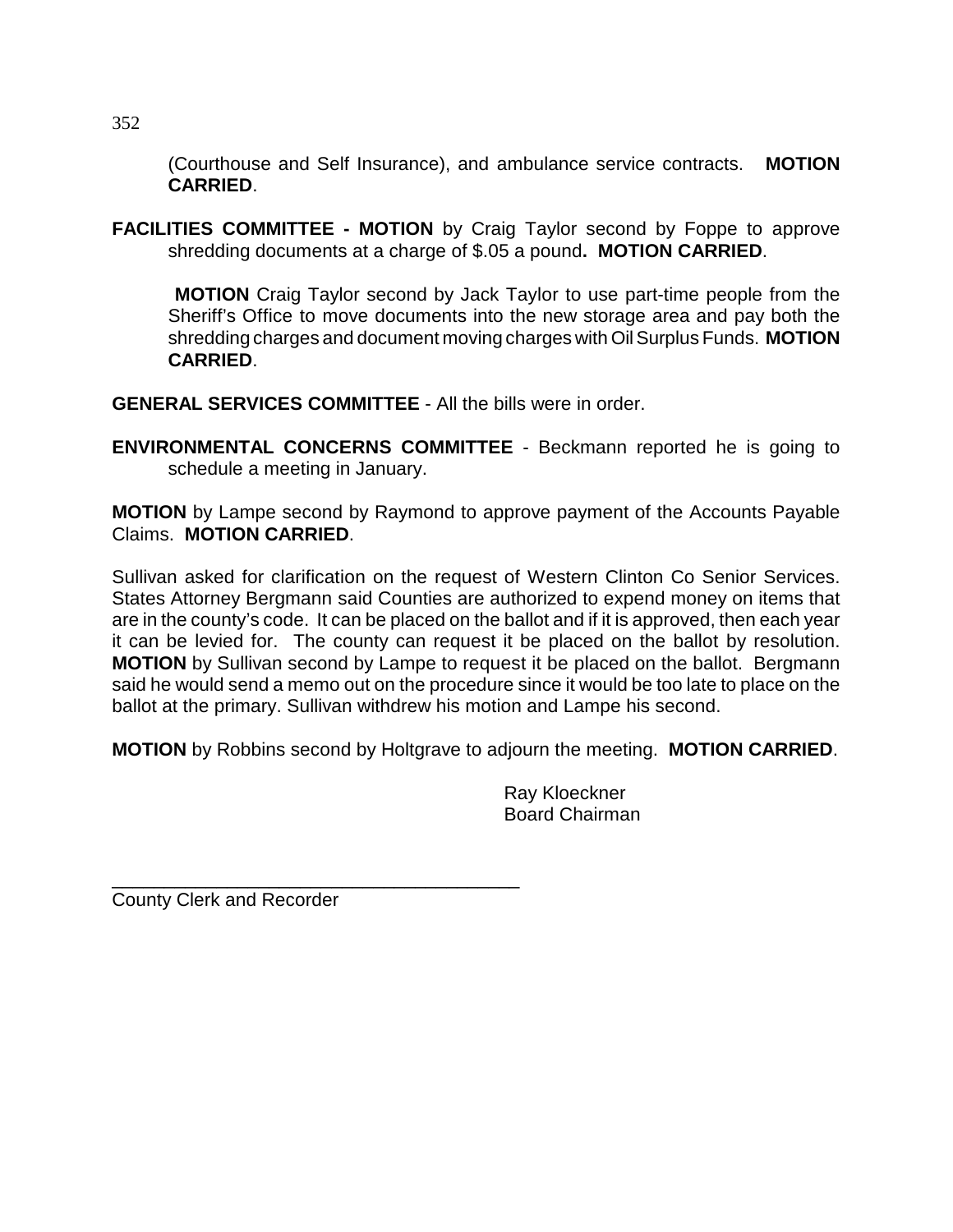(Courthouse and Self Insurance), and ambulance service contracts. **MOTION CARRIED**.

**FACILITIES COMMITTEE - MOTION** by Craig Taylor second by Foppe to approve shredding documents at a charge of \$.05 a pound**. MOTION CARRIED**.

**MOTION** Craig Taylor second by Jack Taylor to use part-time people from the Sheriff's Office to move documents into the new storage area and pay both the shredding charges and document moving charges with Oil Surplus Funds. **MOTION CARRIED**.

**GENERAL SERVICES COMMITTEE** - All the bills were in order.

**ENVIRONMENTAL CONCERNS COMMITTEE** - Beckmann reported he is going to schedule a meeting in January.

**MOTION** by Lampe second by Raymond to approve payment of the Accounts Payable Claims. **MOTION CARRIED**.

Sullivan asked for clarification on the request of Western Clinton Co Senior Services. States Attorney Bergmann said Counties are authorized to expend money on items that are in the county's code. It can be placed on the ballot and if it is approved, then each year it can be levied for. The county can request it be placed on the ballot by resolution. **MOTION** by Sullivan second by Lampe to request it be placed on the ballot. Bergmann said he would send a memo out on the procedure since it would be too late to place on the ballot at the primary. Sullivan withdrew his motion and Lampe his second.

**MOTION** by Robbins second by Holtgrave to adjourn the meeting. **MOTION CARRIED**.

Ray Kloeckner Board Chairman

County Clerk and Recorder

\_\_\_\_\_\_\_\_\_\_\_\_\_\_\_\_\_\_\_\_\_\_\_\_\_\_\_\_\_\_\_\_\_\_\_\_\_\_\_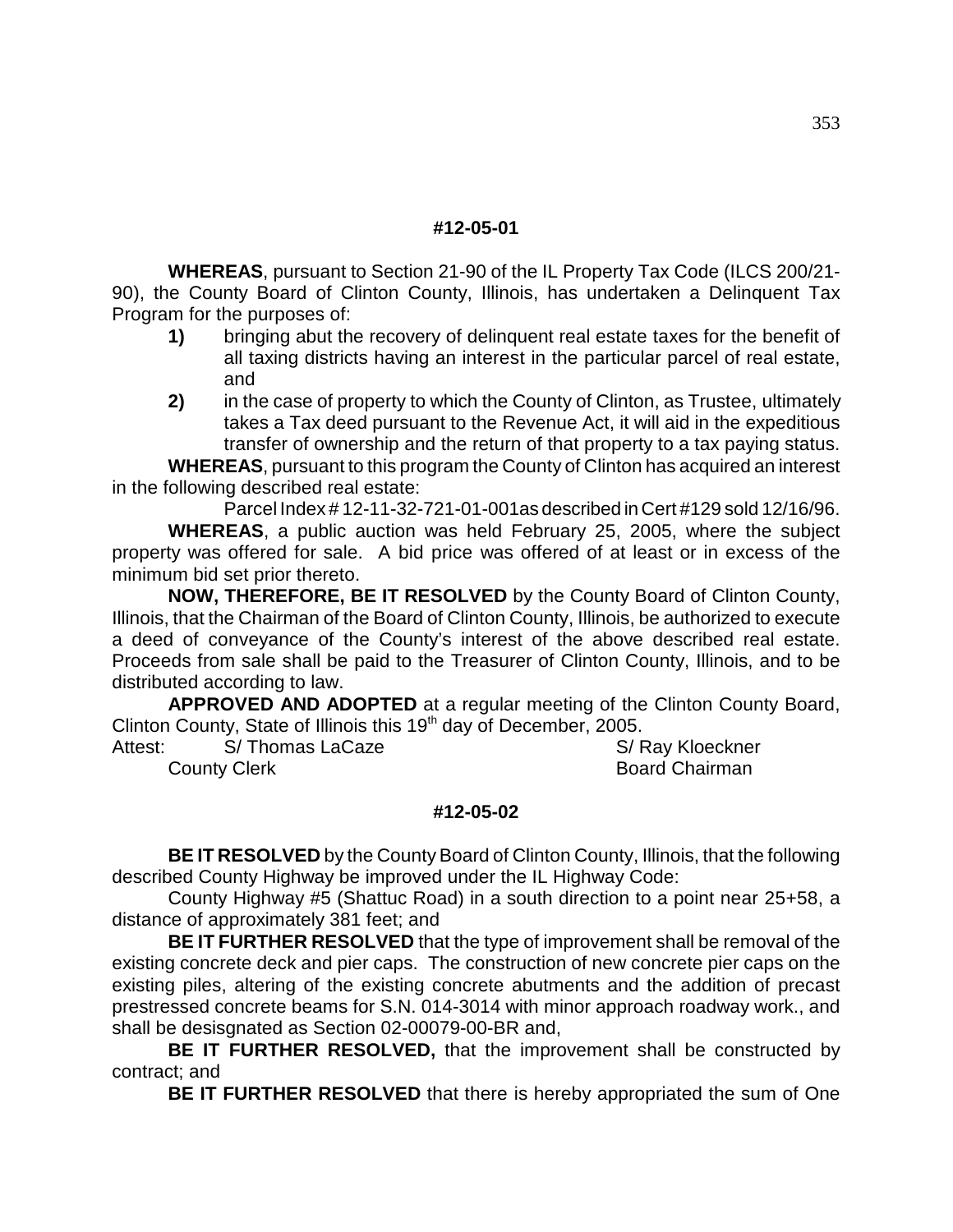## **#12-05-01**

**WHEREAS**, pursuant to Section 21-90 of the IL Property Tax Code (ILCS 200/21- 90), the County Board of Clinton County, Illinois, has undertaken a Delinquent Tax Program for the purposes of:

- **1)** bringing abut the recovery of delinquent real estate taxes for the benefit of all taxing districts having an interest in the particular parcel of real estate, and
- **2)** in the case of property to which the County of Clinton, as Trustee, ultimately takes a Tax deed pursuant to the Revenue Act, it will aid in the expeditious transfer of ownership and the return of that property to a tax paying status.

**WHEREAS**, pursuant to this program the County of Clinton has acquired an interest in the following described real estate:

Parcel Index # 12-11-32-721-01-001as described in Cert #129 sold 12/16/96. **WHEREAS**, a public auction was held February 25, 2005, where the subject property was offered for sale. A bid price was offered of at least or in excess of the minimum bid set prior thereto.

**NOW, THEREFORE, BE IT RESOLVED** by the County Board of Clinton County, Illinois, that the Chairman of the Board of Clinton County, Illinois, be authorized to execute a deed of conveyance of the County's interest of the above described real estate. Proceeds from sale shall be paid to the Treasurer of Clinton County, Illinois, and to be distributed according to law.

**APPROVED AND ADOPTED** at a regular meeting of the Clinton County Board, Clinton County, State of Illinois this 19<sup>th</sup> day of December, 2005.

Attest: S/ Thomas LaCaze Sale State State State State State State State State State State State State State State State State State State State State State State State State State State State State State State State State **County Clerk County Clerk** Board Chairman

## **#12-05-02**

**BE IT RESOLVED** by the County Board of Clinton County, Illinois, that the following described County Highway be improved under the IL Highway Code:

County Highway #5 (Shattuc Road) in a south direction to a point near 25+58, a distance of approximately 381 feet; and

**BE IT FURTHER RESOLVED** that the type of improvement shall be removal of the existing concrete deck and pier caps. The construction of new concrete pier caps on the existing piles, altering of the existing concrete abutments and the addition of precast prestressed concrete beams for S.N. 014-3014 with minor approach roadway work., and shall be desisgnated as Section 02-00079-00-BR and,

**BE IT FURTHER RESOLVED,** that the improvement shall be constructed by contract; and

**BE IT FURTHER RESOLVED** that there is hereby appropriated the sum of One